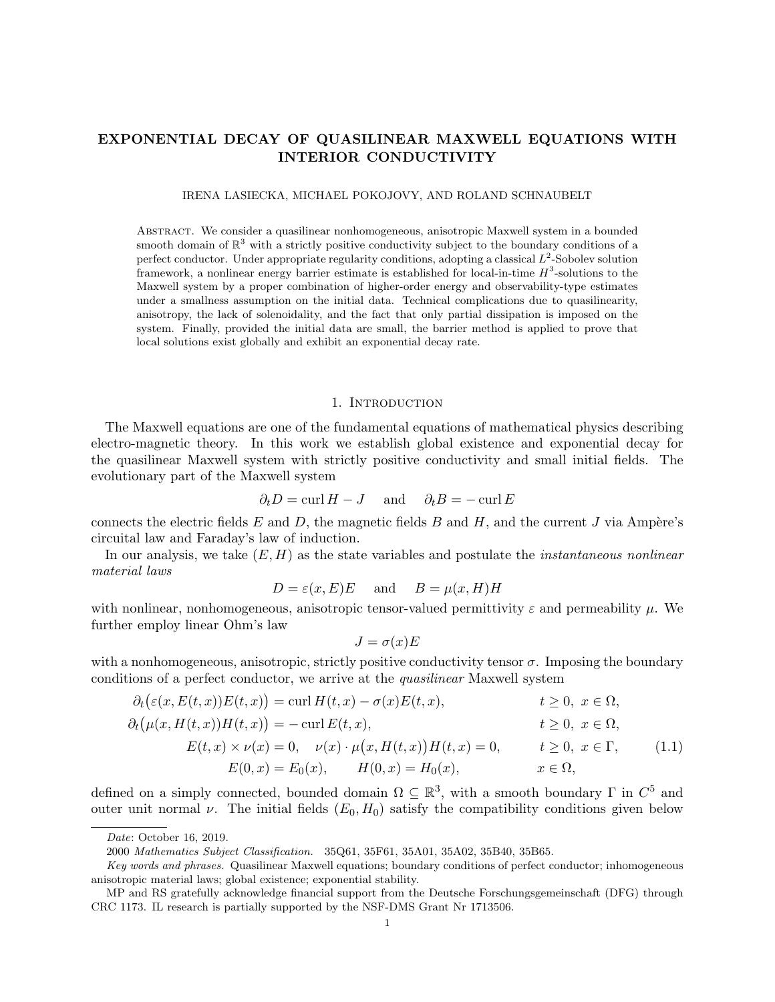# EXPONENTIAL DECAY OF QUASILINEAR MAXWELL EQUATIONS WITH INTERIOR CONDUCTIVITY

### IRENA LASIECKA, MICHAEL POKOJOVY, AND ROLAND SCHNAUBELT

Abstract. We consider a quasilinear nonhomogeneous, anisotropic Maxwell system in a bounded smooth domain of  $\mathbb{R}^3$  with a strictly positive conductivity subject to the boundary conditions of a perfect conductor. Under appropriate regularity conditions, adopting a classical  $L^2$ -Sobolev solution framework, a nonlinear energy barrier estimate is established for local-in-time  $H^3$ -solutions to the Maxwell system by a proper combination of higher-order energy and observability-type estimates under a smallness assumption on the initial data. Technical complications due to quasilinearity, anisotropy, the lack of solenoidality, and the fact that only partial dissipation is imposed on the system. Finally, provided the initial data are small, the barrier method is applied to prove that local solutions exist globally and exhibit an exponential decay rate.

## 1. INTRODUCTION

The Maxwell equations are one of the fundamental equations of mathematical physics describing electro-magnetic theory. In this work we establish global existence and exponential decay for the quasilinear Maxwell system with strictly positive conductivity and small initial fields. The evolutionary part of the Maxwell system

$$
\partial_t D = \text{curl} H - J
$$
 and  $\partial_t B = -\text{curl} E$ 

connects the electric fields E and D, the magnetic fields B and H, and the current J via Ampère's circuital law and Faraday's law of induction.

In our analysis, we take  $(E, H)$  as the state variables and postulate the *instantaneous nonlinear* material laws

$$
D = \varepsilon(x, E)E
$$
 and  $B = \mu(x, H)H$ 

with nonlinear, nonhomogeneous, anisotropic tensor-valued permittivity  $\varepsilon$  and permeability  $\mu$ . We further employ linear Ohm's law

<span id="page-0-0"></span>
$$
J = \sigma(x)E
$$

with a nonhomogeneous, anisotropic, strictly positive conductivity tensor  $\sigma$ . Imposing the boundary conditions of a perfect conductor, we arrive at the quasilinear Maxwell system

$$
\partial_t \big( \varepsilon(x, E(t, x)) E(t, x) \big) = \text{curl } H(t, x) - \sigma(x) E(t, x), \qquad t \ge 0, \ x \in \Omega,
$$
  
\n
$$
\partial_t \big( \mu(x, H(t, x)) H(t, x) \big) = -\text{curl } E(t, x), \qquad t \ge 0, \ x \in \Omega,
$$
  
\n
$$
E(t, x) \times \nu(x) = 0, \quad \nu(x) \cdot \mu(x, H(t, x)) H(t, x) = 0, \qquad t \ge 0, \ x \in \Gamma,
$$
  
\n
$$
E(0, x) = E_0(x), \qquad H(0, x) = H_0(x), \qquad x \in \Omega,
$$
  
\n(1.1)

defined on a simply connected, bounded domain  $\Omega \subseteq \mathbb{R}^3$ , with a smooth boundary  $\Gamma$  in  $C^5$  and outer unit normal  $\nu$ . The initial fields  $(E_0, H_0)$  satisfy the compatibility conditions given below

Date: October 16, 2019.

<sup>2000</sup> Mathematics Subject Classification. 35Q61, 35F61, 35A01, 35A02, 35B40, 35B65.

Key words and phrases. Quasilinear Maxwell equations; boundary conditions of perfect conductor; inhomogeneous anisotropic material laws; global existence; exponential stability.

MP and RS gratefully acknowledge financial support from the Deutsche Forschungsgemeinschaft (DFG) through CRC 1173. IL research is partially supported by the NSF-DMS Grant Nr 1713506.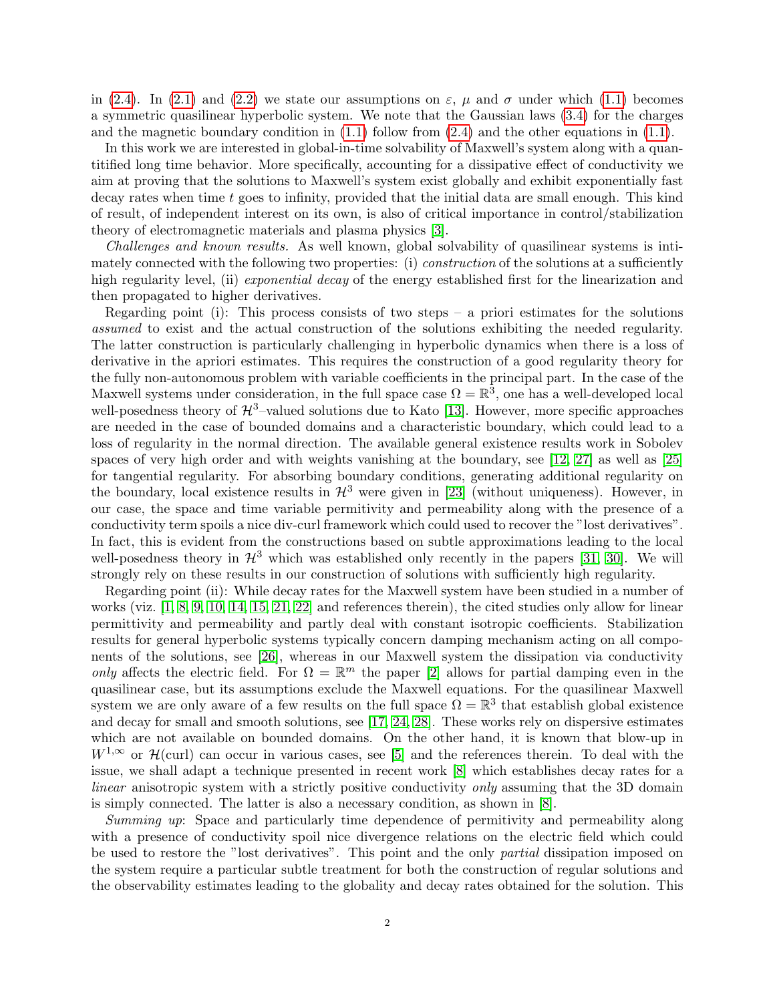in [\(2.4\)](#page-2-0). In [\(2.1\)](#page-2-1) and [\(2.2\)](#page-2-2) we state our assumptions on  $\varepsilon$ ,  $\mu$  and  $\sigma$  under which [\(1.1\)](#page-0-0) becomes a symmetric quasilinear hyperbolic system. We note that the Gaussian laws [\(3.4\)](#page-4-0) for the charges and the magnetic boundary condition in  $(1.1)$  follow from  $(2.4)$  and the other equations in  $(1.1)$ .

In this work we are interested in global-in-time solvability of Maxwell's system along with a quantitified long time behavior. More specifically, accounting for a dissipative effect of conductivity we aim at proving that the solutions to Maxwell's system exist globally and exhibit exponentially fast decay rates when time t goes to infinity, provided that the initial data are small enough. This kind of result, of independent interest on its own, is also of critical importance in control/stabilization theory of electromagnetic materials and plasma physics [\[3\]](#page-23-0).

Challenges and known results. As well known, global solvability of quasilinear systems is intimately connected with the following two properties: (i) *construction* of the solutions at a sufficiently high regularity level, (ii) exponential decay of the energy established first for the linearization and then propagated to higher derivatives.

Regarding point (i): This process consists of two steps – a priori estimates for the solutions assumed to exist and the actual construction of the solutions exhibiting the needed regularity. The latter construction is particularly challenging in hyperbolic dynamics when there is a loss of derivative in the apriori estimates. This requires the construction of a good regularity theory for the fully non-autonomous problem with variable coefficients in the principal part. In the case of the Maxwell systems under consideration, in the full space case  $\Omega = \mathbb{R}^3$ , one has a well-developed local well-posedness theory of  $\mathcal{H}^3$ -valued solutions due to Kato [\[13\]](#page-23-1). However, more specific approaches are needed in the case of bounded domains and a characteristic boundary, which could lead to a loss of regularity in the normal direction. The available general existence results work in Sobolev spaces of very high order and with weights vanishing at the boundary, see [\[12,](#page-23-2) [27\]](#page-24-0) as well as [\[25\]](#page-24-1) for tangential regularity. For absorbing boundary conditions, generating additional regularity on the boundary, local existence results in  $\mathcal{H}^3$  were given in [\[23\]](#page-24-2) (without uniqueness). However, in our case, the space and time variable permitivity and permeability along with the presence of a conductivity term spoils a nice div-curl framework which could used to recover the "lost derivatives". In fact, this is evident from the constructions based on subtle approximations leading to the local well-posedness theory in  $\mathcal{H}^3$  which was established only recently in the papers [\[31,](#page-24-3) [30\]](#page-24-4). We will strongly rely on these results in our construction of solutions with sufficiently high regularity.

Regarding point (ii): While decay rates for the Maxwell system have been studied in a number of works (viz. [\[1,](#page-23-3) [8,](#page-23-4) [9,](#page-23-5) [10,](#page-23-6) [14,](#page-23-7) [15,](#page-23-8) [21,](#page-24-5) [22\]](#page-24-6) and references therein), the cited studies only allow for linear permittivity and permeability and partly deal with constant isotropic coefficients. Stabilization results for general hyperbolic systems typically concern damping mechanism acting on all components of the solutions, see [\[26\]](#page-24-7), whereas in our Maxwell system the dissipation via conductivity only affects the electric field. For  $\Omega = \mathbb{R}^m$  the paper [\[2\]](#page-23-9) allows for partial damping even in the quasilinear case, but its assumptions exclude the Maxwell equations. For the quasilinear Maxwell system we are only aware of a few results on the full space  $\Omega = \mathbb{R}^3$  that establish global existence and decay for small and smooth solutions, see [\[17,](#page-24-8) [24,](#page-24-9) [28\]](#page-24-10). These works rely on dispersive estimates which are not available on bounded domains. On the other hand, it is known that blow-up in  $W^{1,\infty}$  or  $\mathcal{H}(\text{curl})$  can occur in various cases, see [\[5\]](#page-23-10) and the references therein. To deal with the issue, we shall adapt a technique presented in recent work [\[8\]](#page-23-4) which establishes decay rates for a linear anisotropic system with a strictly positive conductivity only assuming that the 3D domain is simply connected. The latter is also a necessary condition, as shown in [\[8\]](#page-23-4).

Summing up: Space and particularly time dependence of permitivity and permeability along with a presence of conductivity spoil nice divergence relations on the electric field which could be used to restore the "lost derivatives". This point and the only *partial* dissipation imposed on the system require a particular subtle treatment for both the construction of regular solutions and the observability estimates leading to the globality and decay rates obtained for the solution. This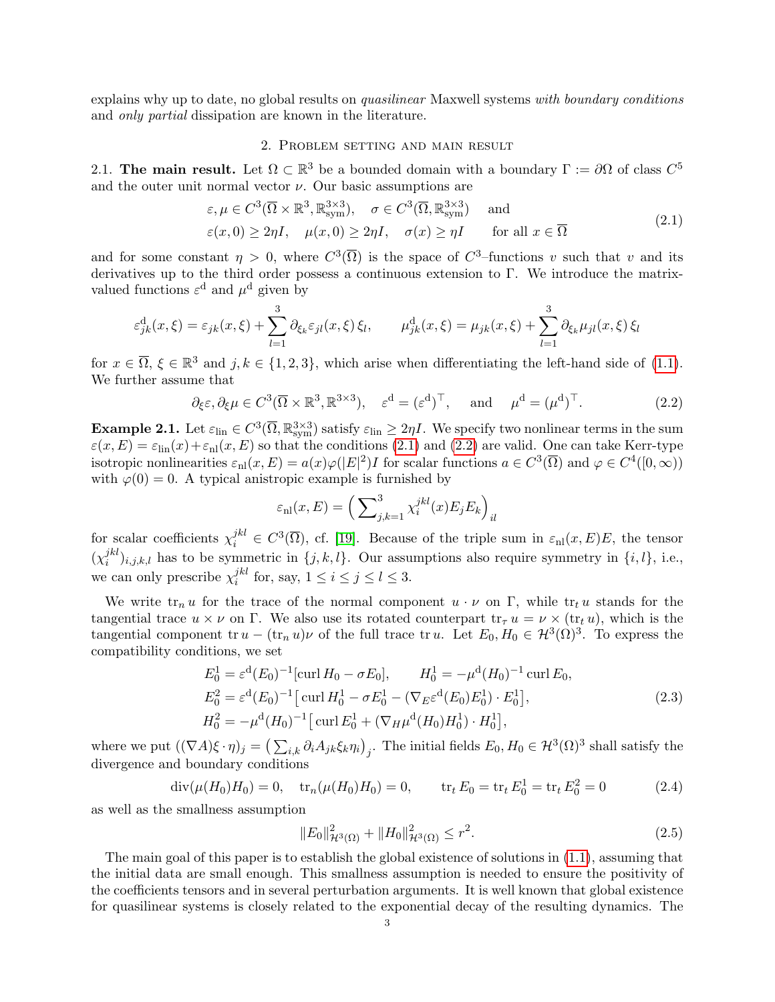explains why up to date, no global results on *quasilinear* Maxwell systems with boundary conditions and only partial dissipation are known in the literature.

## 2. Problem setting and main result

2.1. The main result. Let  $\Omega \subset \mathbb{R}^3$  be a bounded domain with a boundary  $\Gamma := \partial \Omega$  of class  $C^5$ and the outer unit normal vector  $\nu$ . Our basic assumptions are

$$
\varepsilon, \mu \in C^{3}(\overline{\Omega} \times \mathbb{R}^{3}, \mathbb{R}^{3 \times 3}_{sym}), \quad \sigma \in C^{3}(\overline{\Omega}, \mathbb{R}^{3 \times 3}_{sym}) \quad \text{and}
$$
  

$$
\varepsilon(x, 0) \ge 2\eta I, \quad \mu(x, 0) \ge 2\eta I, \quad \sigma(x) \ge \eta I \quad \text{for all } x \in \overline{\Omega}
$$
 (2.1)

<span id="page-2-1"></span>and for some constant  $\eta > 0$ , where  $C^3(\overline{\Omega})$  is the space of  $C^3$ -functions v such that v and its derivatives up to the third order possess a continuous extension to Γ. We introduce the matrixvalued functions  $\varepsilon^d$  and  $\mu^d$  given by

$$
\varepsilon_{jk}^{\mathrm{d}}(x,\xi) = \varepsilon_{jk}(x,\xi) + \sum_{l=1}^{3} \partial_{\xi_k} \varepsilon_{jl}(x,\xi) \xi_l, \qquad \mu_{jk}^{\mathrm{d}}(x,\xi) = \mu_{jk}(x,\xi) + \sum_{l=1}^{3} \partial_{\xi_k} \mu_{jl}(x,\xi) \xi_l
$$

for  $x \in \overline{\Omega}$ ,  $\xi \in \mathbb{R}^3$  and  $j, k \in \{1, 2, 3\}$ , which arise when differentiating the left-hand side of [\(1.1\)](#page-0-0). We further assume that

<span id="page-2-2"></span>
$$
\partial_{\xi} \varepsilon, \partial_{\xi} \mu \in C^{3}(\overline{\Omega} \times \mathbb{R}^{3}, \mathbb{R}^{3 \times 3}), \quad \varepsilon^{d} = (\varepsilon^{d})^{\top}, \quad \text{and} \quad \mu^{d} = (\mu^{d})^{\top}.
$$
 (2.2)

**Example 2.1.** Let  $\varepsilon_{\text{lin}} \in C^3(\overline{\Omega}, \mathbb{R}^{3\times 3}_{\text{sym}})$  satisfy  $\varepsilon_{\text{lin}} \geq 2\eta I$ . We specify two nonlinear terms in the sum  $\varepsilon(x, E) = \varepsilon_{\text{lin}}(x) + \varepsilon_{\text{nl}}(x, E)$  so that the conditions [\(2.1\)](#page-2-1) and [\(2.2\)](#page-2-2) are valid. One can take Kerr-type isotropic nonlinearities  $\varepsilon_{\text{nl}}(x,E) = a(x)\varphi(|E|^2)I$  for scalar functions  $a \in C^3(\overline{\Omega})$  and  $\varphi \in C^4([0,\infty))$ with  $\varphi(0) = 0$ . A typical anistropic example is furnished by

$$
\varepsilon_{\rm nl}(x,E) = \left(\sum_{j,k=1}^3 \chi_i^{jkl}(x) E_j E_k\right)_{il}
$$

for scalar coefficients  $\chi_i^{jkl} \in C^3(\overline{\Omega})$ , cf. [\[19\]](#page-24-11). Because of the triple sum in  $\varepsilon_{\rm nl}(x,E)E$ , the tensor  $(\chi_i^{jkl})$  $i^{(jkl)}_{i,j,k,l}$  has to be symmetric in  $\{j,k,l\}$ . Our assumptions also require symmetry in  $\{i,l\}$ , i.e., we can only prescribe  $\chi_i^{jkl}$  $i^{jkl}$  for, say,  $1 \leq i \leq j \leq l \leq 3$ .

We write  $tr_n u$  for the trace of the normal component  $u \cdot \nu$  on Γ, while  $tr_t u$  stands for the tangential trace  $u \times \nu$  on Γ. We also use its rotated counterpart  $tr_{\tau} u = \nu \times (tr_t u)$ , which is the tangential component tr  $u - (\text{tr}_n u)\nu$  of the full trace tr u. Let  $E_0, H_0 \in \mathcal{H}^3(\Omega)^3$ . To express the compatibility conditions, we set

$$
E_0^1 = \varepsilon^d (E_0)^{-1} [\text{curl } H_0 - \sigma E_0], \qquad H_0^1 = -\mu^d (H_0)^{-1} \text{ curl } E_0,
$$
  
\n
$$
E_0^2 = \varepsilon^d (E_0)^{-1} [\text{ curl } H_0^1 - \sigma E_0^1 - (\nabla_E \varepsilon^d (E_0) E_0^1) \cdot E_0^1],
$$
  
\n
$$
H_0^2 = -\mu^d (H_0)^{-1} [\text{ curl } E_0^1 + (\nabla_H \mu^d (H_0) H_0^1) \cdot H_0^1],
$$
\n(2.3)

where we put  $((\nabla A)\xi \cdot \eta)_j = \left(\sum_{i,k} \partial_i A_{jk}\xi_k \eta_i\right)_j$ . The initial fields  $E_0, H_0 \in \mathcal{H}^3(\Omega)^3$  shall satisfy the divergence and boundary conditions

<span id="page-2-0"></span>
$$
\operatorname{div}(\mu(H_0)H_0) = 0, \quad \operatorname{tr}_n(\mu(H_0)H_0) = 0, \qquad \operatorname{tr}_t E_0 = \operatorname{tr}_t E_0^1 = \operatorname{tr}_t E_0^2 = 0 \tag{2.4}
$$

as well as the smallness assumption

<span id="page-2-3"></span>
$$
||E_0||_{\mathcal{H}^3(\Omega)}^2 + ||H_0||_{\mathcal{H}^3(\Omega)}^2 \le r^2. \tag{2.5}
$$

The main goal of this paper is to establish the global existence of solutions in [\(1.1\)](#page-0-0), assuming that the initial data are small enough. This smallness assumption is needed to ensure the positivity of the coefficients tensors and in several perturbation arguments. It is well known that global existence for quasilinear systems is closely related to the exponential decay of the resulting dynamics. The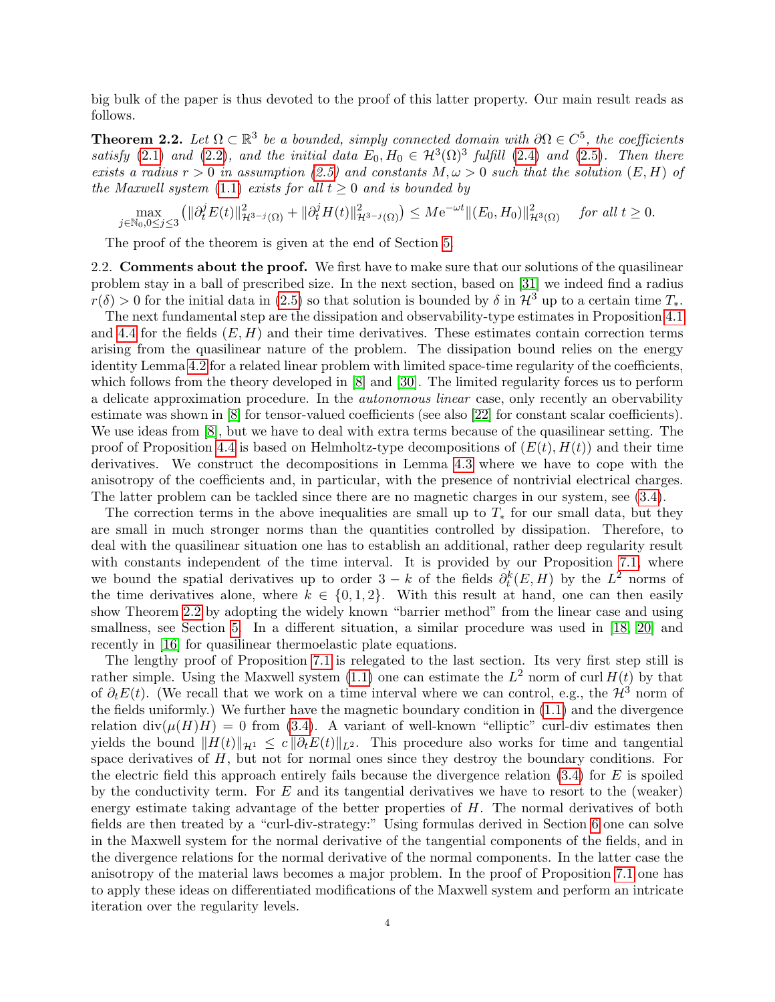big bulk of the paper is thus devoted to the proof of this latter property. Our main result reads as follows.

<span id="page-3-0"></span>**Theorem 2.2.** Let  $\Omega \subset \mathbb{R}^3$  be a bounded, simply connected domain with  $\partial \Omega \in C^5$ , the coefficients satisfy [\(2.1\)](#page-2-1) and [\(2.2\)](#page-2-2), and the initial data  $E_0, H_0 \in \mathcal{H}^3(\Omega)^3$  fulfill [\(2.4\)](#page-2-0) and [\(2.5\)](#page-2-3). Then there exists a radius  $r > 0$  in assumption [\(2.5\)](#page-2-3) and constants  $M, \omega > 0$  such that the solution  $(E, H)$  of the Maxwell system [\(1.1\)](#page-0-0) exists for all  $t \geq 0$  and is bounded by

$$
\max_{j \in \mathbb{N}_0, 0 \le j \le 3} \left( \|\partial_t^j E(t)\|_{\mathcal{H}^{3-j}(\Omega)}^2 + \|\partial_t^j H(t)\|_{\mathcal{H}^{3-j}(\Omega)}^2 \right) \le M e^{-\omega t} \|(E_0, H_0)\|_{\mathcal{H}^3(\Omega)}^2 \quad \text{for all } t \ge 0.
$$

The proof of the theorem is given at the end of Section [5.](#page-10-0)

2.2. **Comments about the proof.** We first have to make sure that our solutions of the quasilinear problem stay in a ball of prescribed size. In the next section, based on [\[31\]](#page-24-3) we indeed find a radius  $r(\delta) > 0$  for the initial data in [\(2.5\)](#page-2-3) so that solution is bounded by  $\delta$  in  $\mathcal{H}^3$  up to a certain time  $T_*$ .

The next fundamental step are the dissipation and observability-type estimates in Proposition [4.1](#page-6-0) and [4.4](#page-9-0) for the fields  $(E, H)$  and their time derivatives. These estimates contain correction terms arising from the quasilinear nature of the problem. The dissipation bound relies on the energy identity Lemma [4.2](#page-7-0) for a related linear problem with limited space-time regularity of the coefficients, which follows from the theory developed in [\[8\]](#page-23-4) and [\[30\]](#page-24-4). The limited regularity forces us to perform a delicate approximation procedure. In the autonomous linear case, only recently an obervability estimate was shown in [\[8\]](#page-23-4) for tensor-valued coefficients (see also [\[22\]](#page-24-6) for constant scalar coefficients). We use ideas from [\[8\]](#page-23-4), but we have to deal with extra terms because of the quasilinear setting. The proof of Proposition [4.4](#page-9-0) is based on Helmholtz-type decompositions of  $(E(t), H(t))$  and their time derivatives. We construct the decompositions in Lemma [4.3](#page-8-0) where we have to cope with the anisotropy of the coefficients and, in particular, with the presence of nontrivial electrical charges. The latter problem can be tackled since there are no magnetic charges in our system, see [\(3.4\)](#page-4-0).

The correction terms in the above inequalities are small up to  $T_*$  for our small data, but they are small in much stronger norms than the quantities controlled by dissipation. Therefore, to deal with the quasilinear situation one has to establish an additional, rather deep regularity result with constants independent of the time interval. It is provided by our Proposition [7.1,](#page-15-0) where we bound the spatial derivatives up to order  $3 - k$  of the fields  $\partial_t^k(E, H)$  by the  $L^2$  norms of the time derivatives alone, where  $k \in \{0, 1, 2\}$ . With this result at hand, one can then easily show Theorem [2.2](#page-3-0) by adopting the widely known "barrier method" from the linear case and using smallness, see Section [5.](#page-10-0) In a different situation, a similar procedure was used in [\[18,](#page-24-12) [20\]](#page-24-13) and recently in [\[16\]](#page-23-11) for quasilinear thermoelastic plate equations.

The lengthy proof of Proposition [7.1](#page-15-0) is relegated to the last section. Its very first step still is rather simple. Using the Maxwell system [\(1.1\)](#page-0-0) one can estimate the  $L^2$  norm of curl  $H(t)$  by that of  $\partial_t E(t)$ . (We recall that we work on a time interval where we can control, e.g., the  $\mathcal{H}^3$  norm of the fields uniformly.) We further have the magnetic boundary condition in [\(1.1\)](#page-0-0) and the divergence relation  $\text{div}(\mu(H)H) = 0$  from [\(3.4\)](#page-4-0). A variant of well-known "elliptic" curl-div estimates then yields the bound  $||H(t)||_{\mathcal{H}^1} \leq c||\partial_t E(t)||_{L^2}$ . This procedure also works for time and tangential space derivatives of  $H$ , but not for normal ones since they destroy the boundary conditions. For the electric field this approach entirely fails because the divergence relation  $(3.4)$  for E is spoiled by the conductivity term. For  $E$  and its tangential derivatives we have to resort to the (weaker) energy estimate taking advantage of the better properties of  $H$ . The normal derivatives of both fields are then treated by a "curl-div-strategy:" Using formulas derived in Section [6](#page-12-0) one can solve in the Maxwell system for the normal derivative of the tangential components of the fields, and in the divergence relations for the normal derivative of the normal components. In the latter case the anisotropy of the material laws becomes a major problem. In the proof of Proposition [7.1](#page-15-0) one has to apply these ideas on differentiated modifications of the Maxwell system and perform an intricate iteration over the regularity levels.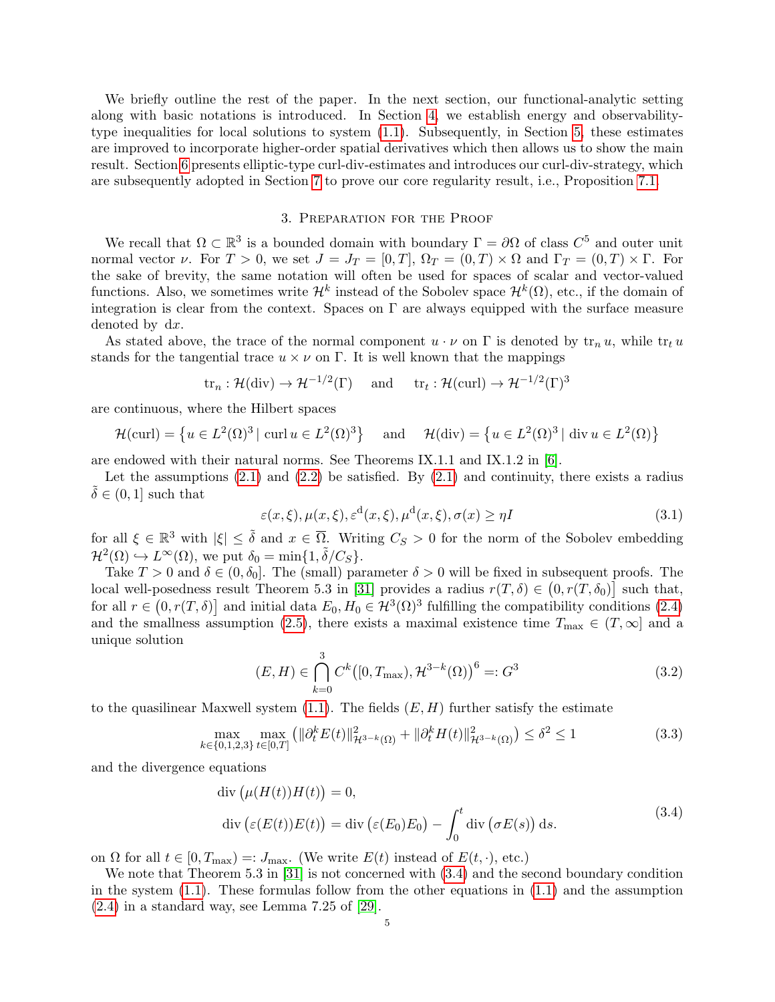We briefly outline the rest of the paper. In the next section, our functional-analytic setting along with basic notations is introduced. In Section [4,](#page-6-1) we establish energy and observabilitytype inequalities for local solutions to system [\(1.1\)](#page-0-0). Subsequently, in Section [5,](#page-10-0) these estimates are improved to incorporate higher-order spatial derivatives which then allows us to show the main result. Section [6](#page-12-0) presents elliptic-type curl-div-estimates and introduces our curl-div-strategy, which are subsequently adopted in Section [7](#page-14-0) to prove our core regularity result, i.e., Proposition [7.1.](#page-15-0)

## 3. Preparation for the Proof

We recall that  $\Omega \subset \mathbb{R}^3$  is a bounded domain with boundary  $\Gamma = \partial \Omega$  of class  $C^5$  and outer unit normal vector  $\nu$ . For  $T > 0$ , we set  $J = J_T = [0, T]$ ,  $\Omega_T = (0, T) \times \Omega$  and  $\Gamma_T = (0, T) \times \Gamma$ . For the sake of brevity, the same notation will often be used for spaces of scalar and vector-valued functions. Also, we sometimes write  $\mathcal{H}^k$  instead of the Sobolev space  $\mathcal{H}^k(\Omega)$ , etc., if the domain of integration is clear from the context. Spaces on  $\Gamma$  are always equipped with the surface measure denoted by dx.

As stated above, the trace of the normal component  $u \cdot \nu$  on  $\Gamma$  is denoted by  $\operatorname{tr}_n u$ , while  $\operatorname{tr}_t u$ stands for the tangential trace  $u \times \nu$  on Γ. It is well known that the mappings

$$
tr_n
$$
:  $\mathcal{H}(\text{div}) \to \mathcal{H}^{-1/2}(\Gamma)$  and  $tr_t$ :  $\mathcal{H}(\text{curl}) \to \mathcal{H}^{-1/2}(\Gamma)^3$ 

are continuous, where the Hilbert spaces

$$
\mathcal{H}(\text{curl}) = \left\{ u \in L^2(\Omega)^3 \, | \, \text{curl } u \in L^2(\Omega)^3 \right\} \quad \text{and} \quad \mathcal{H}(\text{div}) = \left\{ u \in L^2(\Omega)^3 \, | \, \text{div } u \in L^2(\Omega) \right\}
$$

are endowed with their natural norms. See Theorems IX.1.1 and IX.1.2 in [\[6\]](#page-23-12).

Let the assumptions  $(2.1)$  and  $(2.2)$  be satisfied. By  $(2.1)$  and continuity, there exists a radius  $\delta \in (0, 1]$  such that

<span id="page-4-2"></span>
$$
\varepsilon(x,\xi), \mu(x,\xi), \varepsilon^{d}(x,\xi), \mu^{d}(x,\xi), \sigma(x) \ge \eta I \tag{3.1}
$$

for all  $\xi \in \mathbb{R}^3$  with  $|\xi| \leq \tilde{\delta}$  and  $x \in \overline{\Omega}$ . Writing  $C_S > 0$  for the norm of the Sobolev embedding  $\mathcal{H}^2(\Omega) \hookrightarrow L^{\infty}(\Omega)$ , we put  $\delta_0 = \min\{1, \tilde{\delta}/C_S\}.$ 

Take  $T > 0$  and  $\delta \in (0, \delta_0]$ . The (small) parameter  $\delta > 0$  will be fixed in subsequent proofs. The local well-posedness result Theorem 5.3 in [\[31\]](#page-24-3) provides a radius  $r(T, \delta) \in (0, r(T, \delta_0)]$  such that, for all  $r \in (0, r(T, \delta)]$  and initial data  $E_0, H_0 \in \mathcal{H}^3(\Omega)^3$  fulfilling the compatibility conditions [\(2.4\)](#page-2-0) and the smallness assumption [\(2.5\)](#page-2-3), there exists a maximal existence time  $T_{\text{max}} \in (T, \infty]$  and a unique solution

<span id="page-4-3"></span>
$$
(E, H) \in \bigcap_{k=0}^{3} C^{k} ([0, T_{\max}), \mathcal{H}^{3-k}(\Omega))^{6} =: G^{3}
$$
 (3.2)

to the quasilinear Maxwell system  $(1.1)$ . The fields  $(E, H)$  further satisfy the estimate

<span id="page-4-1"></span>
$$
\max_{k \in \{0,1,2,3\}} \max_{t \in [0,T]} \left( \|\partial_t^k E(t)\|_{\mathcal{H}^{3-k}(\Omega)}^2 + \|\partial_t^k H(t)\|_{\mathcal{H}^{3-k}(\Omega)}^2 \right) \le \delta^2 \le 1 \tag{3.3}
$$

<span id="page-4-0"></span>and the divergence equations

$$
\operatorname{div}\left(\mu(H(t))H(t)\right) = 0,
$$
  
\n
$$
\operatorname{div}\left(\varepsilon(E(t))E(t)\right) = \operatorname{div}\left(\varepsilon(E_0)E_0\right) - \int_0^t \operatorname{div}\left(\sigma E(s)\right) ds.
$$
\n(3.4)

on  $\Omega$  for all  $t \in [0, T_{\text{max}}) =: J_{\text{max}}$ . (We write  $E(t)$  instead of  $E(t, \cdot)$ , etc.)

We note that Theorem 5.3 in [\[31\]](#page-24-3) is not concerned with  $(3.4)$  and the second boundary condition in the system  $(1.1)$ . These formulas follow from the other equations in  $(1.1)$  and the assumption  $(2.4)$  in a standard way, see Lemma 7.25 of [\[29\]](#page-24-14).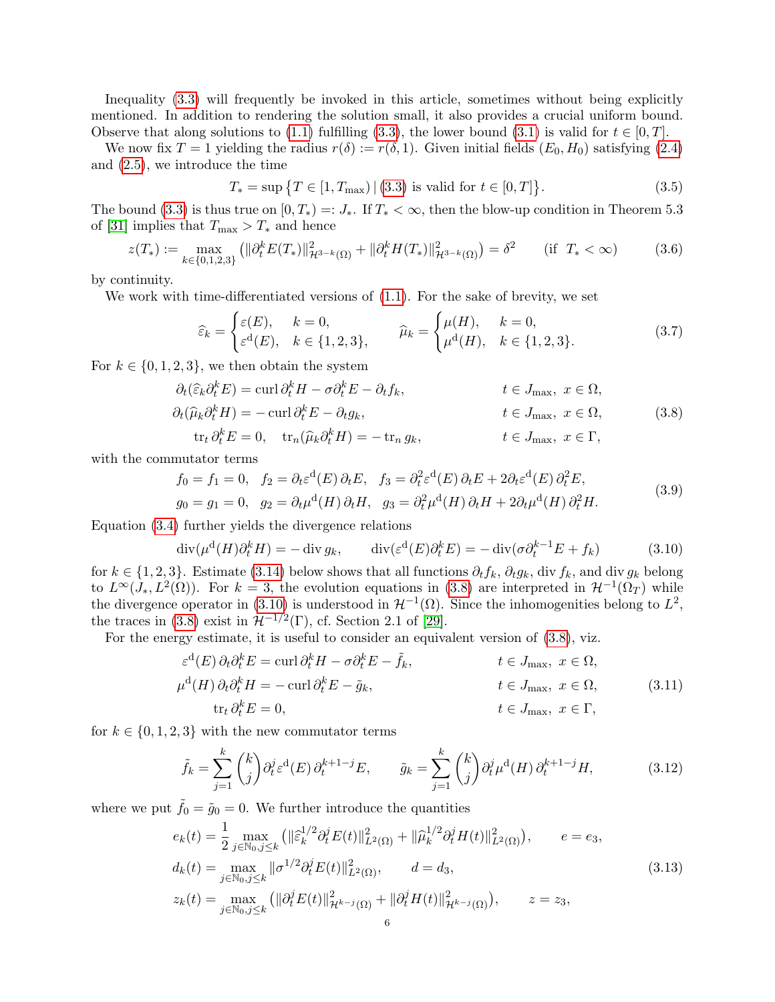Inequality [\(3.3\)](#page-4-1) will frequently be invoked in this article, sometimes without being explicitly mentioned. In addition to rendering the solution small, it also provides a crucial uniform bound. Observe that along solutions to [\(1.1\)](#page-0-0) fulfilling [\(3.3\)](#page-4-1), the lower bound [\(3.1\)](#page-4-2) is valid for  $t \in [0, T]$ .

We now fix  $T = 1$  yielding the radius  $r(\delta) := r(\delta, 1)$ . Given initial fields  $(E_0, H_0)$  satisfying [\(2.4\)](#page-2-0) and [\(2.5\)](#page-2-3), we introduce the time

$$
T_* = \sup \{ T \in [1, T_{\text{max}}) | (3.3) \text{ is valid for } t \in [0, T] \}. \tag{3.5}
$$

The bound [\(3.3\)](#page-4-1) is thus true on  $[0, T_*) =: J_*$ . If  $T_* < \infty$ , then the blow-up condition in Theorem 5.3 of [\[31\]](#page-24-3) implies that  $T_{\text{max}} > T_*$  and hence

<span id="page-5-6"></span>
$$
z(T_*) := \max_{k \in \{0, 1, 2, 3\}} \left( \| \partial_t^k E(T_*) \|_{\mathcal{H}^{3-k}(\Omega)}^2 + \| \partial_t^k H(T_*) \|_{\mathcal{H}^{3-k}(\Omega)}^2 \right) = \delta^2 \qquad (\text{if } T_* < \infty)
$$
 (3.6)

by continuity.

We work with time-differentiated versions of  $(1.1)$ . For the sake of brevity, we set

<span id="page-5-4"></span><span id="page-5-0"></span>
$$
\widehat{\varepsilon}_k = \begin{cases} \varepsilon(E), & k = 0, \\ \varepsilon^{\mathbf{d}}(E), & k \in \{1, 2, 3\}, \end{cases} \qquad \widehat{\mu}_k = \begin{cases} \mu(H), & k = 0, \\ \mu^{\mathbf{d}}(H), & k \in \{1, 2, 3\}. \end{cases}
$$
(3.7)

For  $k \in \{0, 1, 2, 3\}$ , we then obtain the system

$$
\partial_t(\widehat{\varepsilon}_k \partial_t^k E) = \text{curl}\,\partial_t^k H - \sigma \partial_t^k E - \partial_t f_k, \qquad t \in J_{\text{max}}, \ x \in \Omega, \n\partial_t(\widehat{\mu}_k \partial_t^k H) = -\text{curl}\,\partial_t^k E - \partial_t g_k, \qquad t \in J_{\text{max}}, \ x \in \Omega, \n\text{tr}_t \partial_t^k E = 0, \quad \text{tr}_n(\widehat{\mu}_k \partial_t^k H) = -\text{tr}_n g_k, \qquad t \in J_{\text{max}}, \ x \in \Gamma,
$$
\n(3.8)

<span id="page-5-5"></span>with the commutator terms

$$
f_0 = f_1 = 0, \quad f_2 = \partial_t \varepsilon^d(E) \partial_t E, \quad f_3 = \partial_t^2 \varepsilon^d(E) \partial_t E + 2 \partial_t \varepsilon^d(E) \partial_t^2 E,
$$
  
\n
$$
g_0 = g_1 = 0, \quad g_2 = \partial_t \mu^d(H) \partial_t H, \quad g_3 = \partial_t^2 \mu^d(H) \partial_t H + 2 \partial_t \mu^d(H) \partial_t^2 H.
$$
\n(3.9)

Equation [\(3.4\)](#page-4-0) further yields the divergence relations

<span id="page-5-1"></span>
$$
\operatorname{div}(\mu^{\operatorname{d}}(H)\partial_t^k H) = -\operatorname{div} g_k, \qquad \operatorname{div}(\varepsilon^{\operatorname{d}}(E)\partial_t^k E) = -\operatorname{div}(\sigma \partial_t^{k-1} E + f_k) \tag{3.10}
$$

for  $k \in \{1, 2, 3\}$ . Estimate [\(3.14\)](#page-6-2) below shows that all functions  $\partial_t f_k$ ,  $\partial_t g_k$ , div  $f_k$ , and div  $g_k$  belong to  $L^{\infty}(J_*, L^2(\Omega))$ . For  $k = 3$ , the evolution equations in [\(3.8\)](#page-5-0) are interpreted in  $\mathcal{H}^{-1}(\Omega_T)$  while the divergence operator in [\(3.10\)](#page-5-1) is understood in  $\mathcal{H}^{-1}(\Omega)$ . Since the inhomogenities belong to  $L^2$ , the traces in [\(3.8\)](#page-5-0) exist in  $\mathcal{H}^{-1/2}(\Gamma)$ , cf. Section 2.1 of [\[29\]](#page-24-14).

For the energy estimate, it is useful to consider an equivalent version of [\(3.8\)](#page-5-0), viz.

<span id="page-5-3"></span>
$$
\varepsilon^{d}(E) \partial_{t} \partial_{t}^{k} E = \text{curl} \partial_{t}^{k} H - \sigma \partial_{t}^{k} E - \tilde{f}_{k}, \qquad t \in J_{\text{max}}, \ x \in \Omega, \n\mu^{d}(H) \partial_{t} \partial_{t}^{k} H = -\text{curl} \partial_{t}^{k} E - \tilde{g}_{k}, \qquad t \in J_{\text{max}}, \ x \in \Omega, \n\text{tr}_{t} \partial_{t}^{k} E = 0, \qquad t \in J_{\text{max}}, \ x \in \Gamma,
$$
\n(3.11)

for  $k \in \{0, 1, 2, 3\}$  with the new commutator terms

$$
\tilde{f}_k = \sum_{j=1}^k \binom{k}{j} \partial_t^j \varepsilon^d(E) \partial_t^{k+1-j} E, \qquad \tilde{g}_k = \sum_{j=1}^k \binom{k}{j} \partial_t^j \mu^d(H) \partial_t^{k+1-j} H,
$$
\n(3.12)

where we put  $\tilde{f}_0 = \tilde{g}_0 = 0$ . We further introduce the quantities

<span id="page-5-2"></span>
$$
e_k(t) = \frac{1}{2} \max_{j \in \mathbb{N}_0, j \le k} \left( \| \hat{\varepsilon}_k^{1/2} \partial_t^j E(t) \|_{L^2(\Omega)}^2 + \| \hat{\mu}_k^{1/2} \partial_t^j H(t) \|_{L^2(\Omega)}^2 \right), \qquad e = e_3,
$$
  
\n
$$
d_k(t) = \max_{j \in \mathbb{N}_0, j \le k} \| \sigma^{1/2} \partial_t^j E(t) \|_{L^2(\Omega)}^2, \qquad d = d_3,
$$
  
\n
$$
z_k(t) = \max_{j \in \mathbb{N}_0, j \le k} \left( \| \partial_t^j E(t) \|_{\mathcal{H}^{k-j}(\Omega)}^2 + \| \partial_t^j H(t) \|_{\mathcal{H}^{k-j}(\Omega)}^2 \right), \qquad z = z_3,
$$
\n(3.13)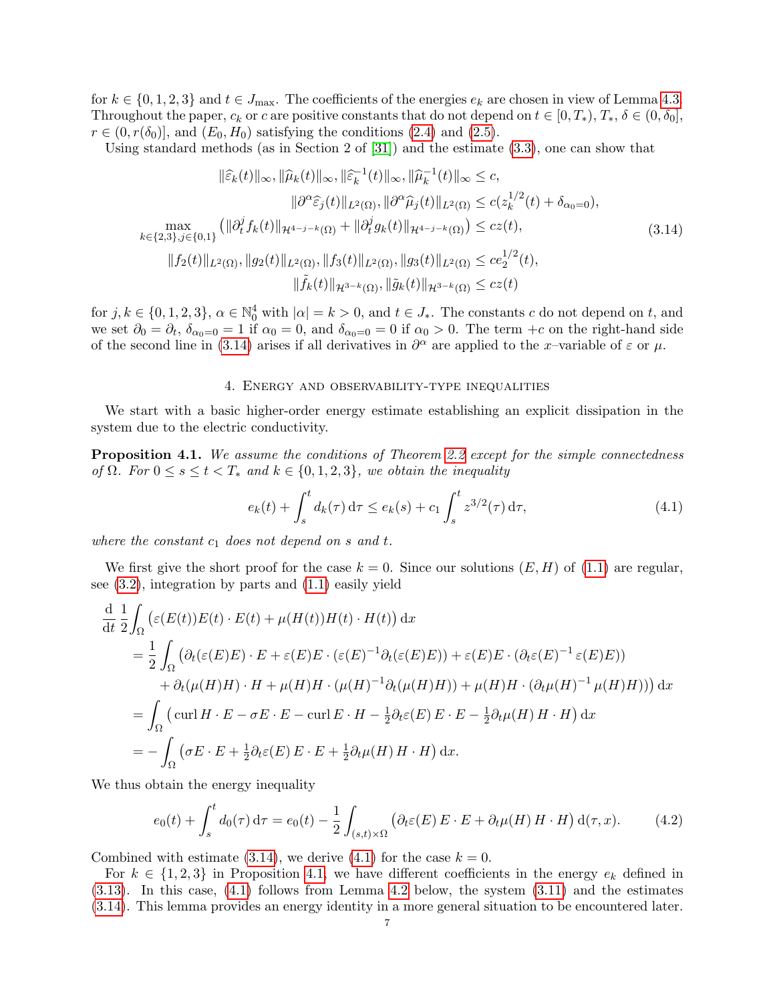for  $k \in \{0, 1, 2, 3\}$  and  $t \in J_{\text{max}}$ . The coefficients of the energies  $e_k$  are chosen in view of Lemma [4.3.](#page-8-0) Throughout the paper,  $c_k$  or c are positive constants that do not depend on  $t \in [0, T_*)$ ,  $T_*, \delta \in (0, \delta_0]$ ,  $r \in (0, r(\delta_0))$ , and  $(E_0, H_0)$  satisfying the conditions  $(2.4)$  and  $(2.5)$ .

Using standard methods (as in Section 2 of [\[31\]](#page-24-3)) and the estimate [\(3.3\)](#page-4-1), one can show that

<span id="page-6-2"></span>
$$
\|\hat{\varepsilon}_{k}(t)\|_{\infty}, \|\hat{\mu}_{k}(t)\|_{\infty}, \|\hat{\varepsilon}_{k}^{-1}(t)\|_{\infty}, \|\hat{\mu}_{k}^{-1}(t)\|_{\infty} \leq c,
$$
  
\n
$$
\|\partial^{\alpha}\hat{\varepsilon}_{j}(t)\|_{L^{2}(\Omega)}, \|\partial^{\alpha}\hat{\mu}_{j}(t)\|_{L^{2}(\Omega)} \leq c(z_{k}^{1/2}(t) + \delta_{\alpha_{0}=0}),
$$
  
\n
$$
\max_{k \in \{2,3\}, j \in \{0,1\}} \left( \|\partial_{t}^{j} f_{k}(t)\|_{\mathcal{H}^{4-j-k}(\Omega)} + \|\partial_{t}^{j} g_{k}(t)\|_{\mathcal{H}^{4-j-k}(\Omega)} \right) \leq c z(t),
$$
  
\n
$$
\|f_{2}(t)\|_{L^{2}(\Omega)}, \|g_{2}(t)\|_{L^{2}(\Omega)}, \|f_{3}(t)\|_{L^{2}(\Omega)}, \|g_{3}(t)\|_{L^{2}(\Omega)} \leq c\epsilon_{2}^{1/2}(t),
$$
  
\n
$$
\|\tilde{f}_{k}(t)\|_{\mathcal{H}^{3-k}(\Omega)}, \|\tilde{g}_{k}(t)\|_{\mathcal{H}^{3-k}(\Omega)} \leq c z(t)
$$
  
\n(3.14)

for  $j, k \in \{0, 1, 2, 3\}, \alpha \in \mathbb{N}_0^4$  with  $|\alpha| = k > 0$ , and  $t \in J_*$ . The constants c do not depend on t, and we set  $\partial_0 = \partial_t$ ,  $\delta_{\alpha_0=0} = 1$  if  $\alpha_0 = 0$ , and  $\delta_{\alpha_0=0} = 0$  if  $\alpha_0 > 0$ . The term +c on the right-hand side of the second line in [\(3.14\)](#page-6-2) arises if all derivatives in  $\partial^{\alpha}$  are applied to the x-variable of  $\varepsilon$  or  $\mu$ .

### 4. Energy and observability-type inequalities

<span id="page-6-1"></span>We start with a basic higher-order energy estimate establishing an explicit dissipation in the system due to the electric conductivity.

<span id="page-6-0"></span>**Proposition 4.1.** We assume the conditions of Theorem [2.2](#page-3-0) except for the simple connectedness of  $\Omega$ . For  $0 \leq s \leq t < T_*$  and  $k \in \{0, 1, 2, 3\}$ , we obtain the inequality

<span id="page-6-3"></span>
$$
e_k(t) + \int_s^t d_k(\tau) d\tau \le e_k(s) + c_1 \int_s^t z^{3/2}(\tau) d\tau,
$$
\n(4.1)

where the constant  $c_1$  does not depend on s and t.

We first give the short proof for the case  $k = 0$ . Since our solutions  $(E, H)$  of  $(1.1)$  are regular, see [\(3.2\)](#page-4-3), integration by parts and [\(1.1\)](#page-0-0) easily yield

$$
\frac{d}{dt} \frac{1}{2} \int_{\Omega} \left( \varepsilon(E(t))E(t) \cdot E(t) + \mu(H(t))H(t) \cdot H(t) \right) dx
$$
\n
$$
= \frac{1}{2} \int_{\Omega} \left( \partial_{t} (\varepsilon(E)E) \cdot E + \varepsilon(E)E \cdot (\varepsilon(E)^{-1} \partial_{t} (\varepsilon(E)E)) + \varepsilon(E)E \cdot (\partial_{t} \varepsilon(E)^{-1} \varepsilon(E)E) \right)
$$
\n
$$
+ \partial_{t} (\mu(H)H) \cdot H + \mu(H)H \cdot (\mu(H)^{-1} \partial_{t} (\mu(H)H)) + \mu(H)H \cdot (\partial_{t} \mu(H)^{-1} \mu(H)H)) \right) dx
$$
\n
$$
= \int_{\Omega} \left( \operatorname{curl} H \cdot E - \sigma E \cdot E - \operatorname{curl} E \cdot H - \frac{1}{2} \partial_{t} \varepsilon(E) E \cdot E - \frac{1}{2} \partial_{t} \mu(H) H \cdot H \right) dx
$$
\n
$$
= - \int_{\Omega} \left( \sigma E \cdot E + \frac{1}{2} \partial_{t} \varepsilon(E) E \cdot E + \frac{1}{2} \partial_{t} \mu(H) H \cdot H \right) dx.
$$

We thus obtain the energy inequality

<span id="page-6-4"></span>
$$
e_0(t) + \int_s^t d_0(\tau) d\tau = e_0(t) - \frac{1}{2} \int_{(s,t)\times\Omega} \left( \partial_t \varepsilon(E) \, E \cdot E + \partial_t \mu(H) \, H \cdot H \right) d(\tau, x). \tag{4.2}
$$

Combined with estimate [\(3.14\)](#page-6-2), we derive [\(4.1\)](#page-6-3) for the case  $k = 0$ .

For  $k \in \{1, 2, 3\}$  in Proposition [4.1,](#page-6-0) we have different coefficients in the energy  $e_k$  defined in [\(3.13\)](#page-5-2). In this case, [\(4.1\)](#page-6-3) follows from Lemma [4.2](#page-7-0) below, the system [\(3.11\)](#page-5-3) and the estimates [\(3.14\)](#page-6-2). This lemma provides an energy identity in a more general situation to be encountered later.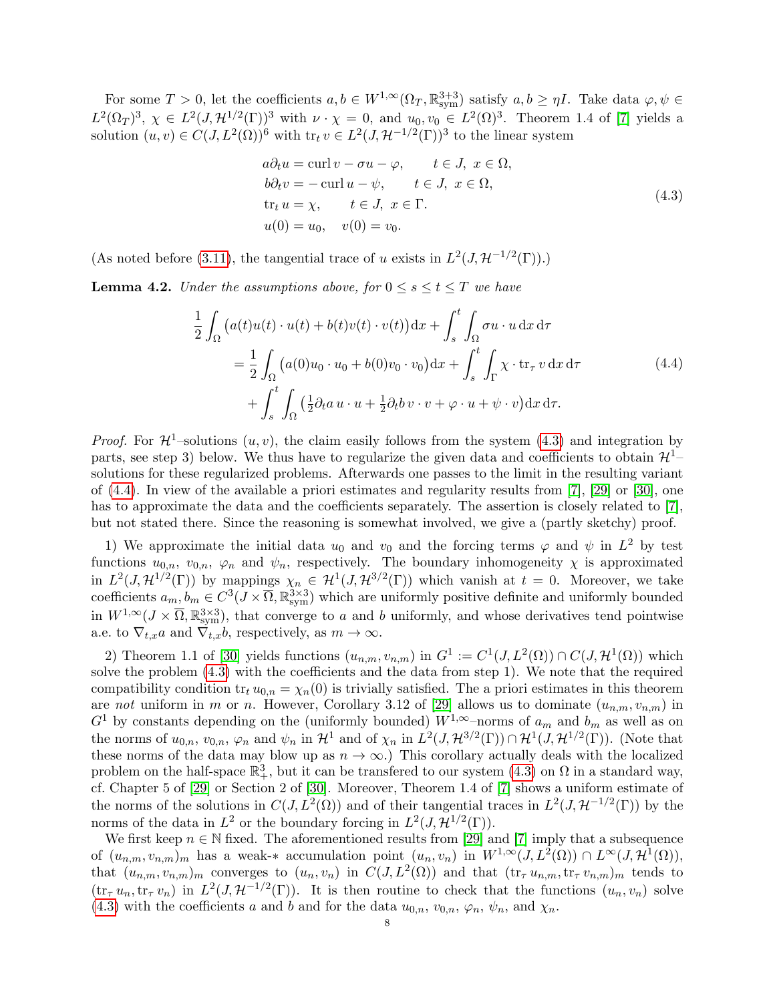For some  $T > 0$ , let the coefficients  $a, b \in W^{1,\infty}(\Omega_T, \mathbb{R}^{3+3}_{sym})$  satisfy  $a, b \ge \eta I$ . Take data  $\varphi, \psi \in$  $L^2(\Omega_T)^3$ ,  $\chi \in L^2(J, \mathcal{H}^{1/2}(\Gamma))^3$  with  $\nu \cdot \chi = 0$ , and  $u_0, v_0 \in L^2(\Omega)^3$ . Theorem 1.4 of [\[7\]](#page-23-13) yields a solution  $(u, v) \in C(J, L^2(\Omega))^6$  with  $tr_t v \in L^2(J, \mathcal{H}^{-1/2}(\Gamma))^3$  to the linear system

<span id="page-7-2"></span>
$$
a\partial_t u = \text{curl } v - \sigma u - \varphi, \qquad t \in J, \ x \in \Omega,
$$
  
\n
$$
b\partial_t v = -\text{curl } u - \psi, \qquad t \in J, \ x \in \Omega,
$$
  
\n
$$
\text{tr}_t u = \chi, \qquad t \in J, \ x \in \Gamma.
$$
  
\n
$$
u(0) = u_0, \quad v(0) = v_0.
$$
\n(4.3)

<span id="page-7-1"></span>(As noted before [\(3.11\)](#page-5-3), the tangential trace of u exists in  $L^2(J, \mathcal{H}^{-1/2}(\Gamma))$ .)

<span id="page-7-0"></span>**Lemma 4.2.** Under the assumptions above, for  $0 \leq s \leq t \leq T$  we have

$$
\frac{1}{2} \int_{\Omega} \left( a(t)u(t) \cdot u(t) + b(t)v(t) \cdot v(t) \right) dx + \int_{s}^{t} \int_{\Omega} \sigma u \cdot u \, dx \, d\tau
$$
\n
$$
= \frac{1}{2} \int_{\Omega} \left( a(0)u_0 \cdot u_0 + b(0)v_0 \cdot v_0 \right) dx + \int_{s}^{t} \int_{\Gamma} \chi \cdot \text{tr}_{\tau} v \, dx \, d\tau
$$
\n
$$
+ \int_{s}^{t} \int_{\Omega} \left( \frac{1}{2} \partial_t a u \cdot u + \frac{1}{2} \partial_t b v \cdot v + \varphi \cdot u + \psi \cdot v \right) dx \, d\tau. \tag{4.4}
$$

*Proof.* For  $\mathcal{H}^1$ -solutions  $(u, v)$ , the claim easily follows from the system [\(4.3\)](#page-7-1) and integration by parts, see step 3) below. We thus have to regularize the given data and coefficients to obtain  $\mathcal{H}^1$ solutions for these regularized problems. Afterwards one passes to the limit in the resulting variant of [\(4.4\)](#page-7-2). In view of the available a priori estimates and regularity results from [\[7\]](#page-23-13), [\[29\]](#page-24-14) or [\[30\]](#page-24-4), one has to approximate the data and the coefficients separately. The assertion is closely related to [\[7\]](#page-23-13), but not stated there. Since the reasoning is somewhat involved, we give a (partly sketchy) proof.

1) We approximate the initial data  $u_0$  and  $v_0$  and the forcing terms  $\varphi$  and  $\psi$  in  $L^2$  by test functions  $u_{0,n}$ ,  $v_{0,n}$ ,  $\varphi_n$  and  $\psi_n$ , respectively. The boundary inhomogeneity  $\chi$  is approximated in  $L^2(J, \mathcal{H}^{1/2}(\Gamma))$  by mappings  $\chi_n \in \mathcal{H}^1(J, \mathcal{H}^{3/2}(\Gamma))$  which vanish at  $t = 0$ . Moreover, we take coefficients  $a_m, b_m \in C^3(J \times \overline{\Omega}, \mathbb{R}^{3 \times 3}_{sym})$  which are uniformly positive definite and uniformly bounded in  $W^{1,\infty}(J\times\overline{\Omega}, \mathbb{R}^{3\times3}_{sym})$ , that converge to a and b uniformly, and whose derivatives tend pointwise a.e. to  $\nabla_{t,x}a$  and  $\nabla_{t,x}b$ , respectively, as  $m \to \infty$ .

2) Theorem 1.1 of [\[30\]](#page-24-4) yields functions  $(u_{n,m}, v_{n,m})$  in  $G^1 := C^1(J, L^2(\Omega)) \cap C(J, \mathcal{H}^1(\Omega))$  which solve the problem [\(4.3\)](#page-7-1) with the coefficients and the data from step 1). We note that the required compatibility condition  $tr_t u_{0,n} = \chi_n(0)$  is trivially satisfied. The a priori estimates in this theorem are not uniform in m or n. However, Corollary 3.12 of [\[29\]](#page-24-14) allows us to dominate  $(u_{n,m}, v_{n,m})$  in  $G<sup>1</sup>$  by constants depending on the (uniformly bounded)  $W<sup>1,\infty</sup>$ -norms of  $a_m$  and  $b_m$  as well as on the norms of  $u_{0,n}$ ,  $v_{0,n}$ ,  $\varphi_n$  and  $\psi_n$  in  $\mathcal{H}^1$  and of  $\chi_n$  in  $L^2(J, \mathcal{H}^{3/2}(\Gamma)) \cap \mathcal{H}^1(J, \mathcal{H}^{1/2}(\Gamma))$ . (Note that these norms of the data may blow up as  $n \to \infty$ .) This corollary actually deals with the localized problem on the half-space  $\mathbb{R}^3_+$ , but it can be transfered to our system [\(4.3\)](#page-7-1) on  $\Omega$  in a standard way, cf. Chapter 5 of [\[29\]](#page-24-14) or Section 2 of [\[30\]](#page-24-4). Moreover, Theorem 1.4 of [\[7\]](#page-23-13) shows a uniform estimate of the norms of the solutions in  $C(J, L^2(\Omega))$  and of their tangential traces in  $L^2(J, \mathcal{H}^{-1/2}(\Gamma))$  by the norms of the data in  $L^2$  or the boundary forcing in  $L^2(J, \mathcal{H}^{1/2}(\Gamma)).$ 

We first keep  $n \in \mathbb{N}$  fixed. The aforementioned results from [\[29\]](#page-24-14) and [\[7\]](#page-23-13) imply that a subsequence of  $(u_{n,m}, v_{n,m})_m$  has a weak-\* accumulation point  $(u_n, v_n)$  in  $W^{1,\infty}(J, L^2(\Omega)) \cap L^{\infty}(J, \mathcal{H}^1(\Omega)),$ that  $(u_{n,m}, v_{n,m})_m$  converges to  $(u_n, v_n)$  in  $C(J, L^2(\Omega))$  and that  $(\text{tr}_{\tau} u_{n,m}, \text{tr}_{\tau} v_{n,m})_m$  tends to  $(tr_{\tau} u_n, tr_{\tau} v_n)$  in  $L^2(J, \mathcal{H}^{-1/2}(\Gamma))$ . It is then routine to check that the functions  $(u_n, v_n)$  solve [\(4.3\)](#page-7-1) with the coefficients a and b and for the data  $u_{0,n}$ ,  $v_{0,n}$ ,  $\varphi_n$ ,  $\psi_n$ , and  $\chi_n$ .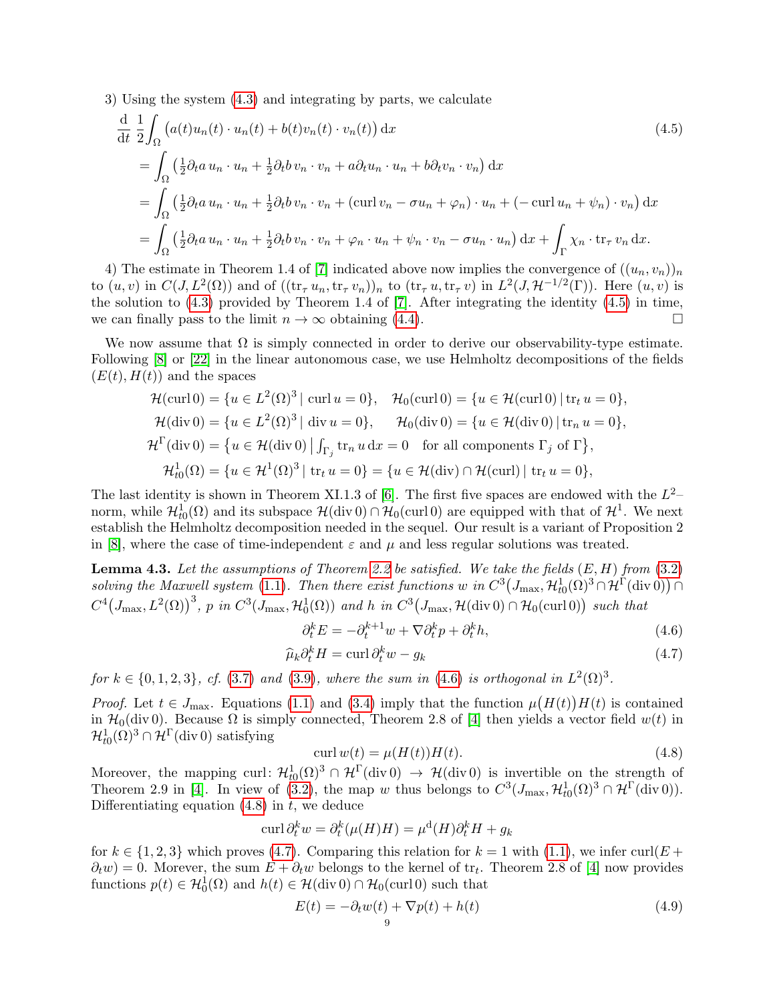3) Using the system [\(4.3\)](#page-7-1) and integrating by parts, we calculate

<span id="page-8-1"></span>
$$
\frac{d}{dt} \frac{1}{2} \int_{\Omega} \left( a(t)u_n(t) \cdot u_n(t) + b(t)v_n(t) \cdot v_n(t) \right) dx
$$
\n
$$
= \int_{\Omega} \left( \frac{1}{2} \partial_t a u_n \cdot u_n + \frac{1}{2} \partial_t b v_n \cdot v_n + a \partial_t u_n \cdot u_n + b \partial_t v_n \cdot v_n \right) dx
$$
\n
$$
= \int_{\Omega} \left( \frac{1}{2} \partial_t a u_n \cdot u_n + \frac{1}{2} \partial_t b v_n \cdot v_n + (\text{curl} \, v_n - \sigma u_n + \varphi_n) \cdot u_n + (-\text{curl} \, u_n + \psi_n) \cdot v_n \right) dx
$$
\n
$$
= \int_{\Omega} \left( \frac{1}{2} \partial_t a u_n \cdot u_n + \frac{1}{2} \partial_t b v_n \cdot v_n + \varphi_n \cdot u_n + \psi_n \cdot v_n - \sigma u_n \cdot u_n \right) dx + \int_{\Gamma} \chi_n \cdot \text{tr}_{\tau} v_n dx.
$$
\n(4.5)

4) The estimate in Theorem 1.4 of [\[7\]](#page-23-13) indicated above now implies the convergence of  $((u_n, v_n))_n$ to  $(u, v)$  in  $C(J, L^2(\Omega))$  and of  $((tr_\tau u_n, tr_\tau v_n))_n$  to  $(tr_\tau u, tr_\tau v)$  in  $L^2(J, H^{-1/2}(\Gamma))$ . Here  $(u, v)$  is the solution to [\(4.3\)](#page-7-1) provided by Theorem 1.4 of [\[7\]](#page-23-13). After integrating the identity [\(4.5\)](#page-8-1) in time, we can finally pass to the limit  $n \to \infty$  obtaining [\(4.4\)](#page-7-2).

We now assume that  $\Omega$  is simply connected in order to derive our observability-type estimate. Following [\[8\]](#page-23-4) or [\[22\]](#page-24-6) in the linear autonomous case, we use Helmholtz decompositions of the fields  $(E(t), H(t))$  and the spaces

$$
\mathcal{H}(\text{curl}\,0) = \{u \in L^2(\Omega)^3 \mid \text{curl}\,u = 0\}, \quad \mathcal{H}_0(\text{curl}\,0) = \{u \in \mathcal{H}(\text{curl}\,0) \mid \text{tr}_t\,u = 0\},\
$$
  

$$
\mathcal{H}(\text{div}\,0) = \{u \in L^2(\Omega)^3 \mid \text{div}\,u = 0\}, \quad \mathcal{H}_0(\text{div}\,0) = \{u \in \mathcal{H}(\text{div}\,0) \mid \text{tr}_n\,u = 0\},\
$$
  

$$
\mathcal{H}^{\Gamma}(\text{div}\,0) = \{u \in \mathcal{H}(\text{div}\,0) \mid \int_{\Gamma_j}\text{tr}_n\,u\,dx = 0 \quad \text{for all components }\Gamma_j\text{ of }\Gamma\},\
$$
  

$$
\mathcal{H}^1_{t0}(\Omega) = \{u \in \mathcal{H}^1(\Omega)^3 \mid \text{tr}_t\,u = 0\} = \{u \in \mathcal{H}(\text{div}) \cap \mathcal{H}(\text{curl}) \mid \text{tr}_t\,u = 0\},\
$$

The last identity is shown in Theorem XI.1.3 of [\[6\]](#page-23-12). The first five spaces are endowed with the  $L^2$ norm, while  $\mathcal{H}_{t0}^1(\Omega)$  and its subspace  $\mathcal{H}(\text{div }0) \cap \mathcal{H}_0(\text{curl }0)$  are equipped with that of  $\mathcal{H}^1$ . We next establish the Helmholtz decomposition needed in the sequel. Our result is a variant of Proposition 2 in [\[8\]](#page-23-4), where the case of time-independent  $\varepsilon$  and  $\mu$  and less regular solutions was treated.

<span id="page-8-0"></span>**Lemma 4.3.** Let the assumptions of Theorem [2.2](#page-3-0) be satisfied. We take the fields  $(E, H)$  from  $(3.2)$ solving the Maxwell system [\(1.1\)](#page-0-0). Then there exist functions w in  $C^3(J_{\text{max}}, \mathcal{H}^1_{t0}(\Omega)^3 \cap \mathcal{H}^{\Gamma}(\text{div}\,0)) \cap$  $C^4\big(J_{\max}, L^2(\Omega)\big)^3$ , p in  $C^3(J_{\max}, \mathcal{H}_0^1(\Omega))$  and h in  $C^3\big(J_{\max}, \mathcal{H}(\text{div }0) \cap \mathcal{H}_0(\text{curl }0)\big)$  such that

<span id="page-8-4"></span><span id="page-8-2"></span>
$$
\partial_t^k E = -\partial_t^{k+1} w + \nabla \partial_t^k p + \partial_t^k h,\tag{4.6}
$$

$$
\widehat{\mu}_k \partial_t^k H = \operatorname{curl} \partial_t^k w - g_k \tag{4.7}
$$

for  $k \in \{0, 1, 2, 3\}$ , cf. [\(3.7\)](#page-5-4) and [\(3.9\)](#page-5-5), where the sum in [\(4.6\)](#page-8-2) is orthogonal in  $L^2(\Omega)^3$ .

*Proof.* Let  $t \in J_{\text{max}}$ . Equations [\(1.1\)](#page-0-0) and [\(3.4\)](#page-4-0) imply that the function  $\mu(H(t))H(t)$  is contained in  $\mathcal{H}_0(\text{div } 0)$ . Because  $\Omega$  is simply connected, Theorem 2.8 of [\[4\]](#page-23-14) then yields a vector field  $w(t)$  in  $\mathcal{H}_{t0}^1(\Omega)^3 \cap \mathcal{H}^{\Gamma}(\text{div }0)$  satisfying

<span id="page-8-3"></span>
$$
\operatorname{curl} w(t) = \mu(H(t))H(t). \tag{4.8}
$$

Moreover, the mapping curl:  $\mathcal{H}_{t0}^1(\Omega)^3 \cap \mathcal{H}^{\Gamma}(\text{div}\,0) \rightarrow \mathcal{H}(\text{div}\,0)$  is invertible on the strength of Theorem 2.9 in [\[4\]](#page-23-14). In view of [\(3.2\)](#page-4-3), the map w thus belongs to  $C^3(J_{\text{max}}, \mathcal{H}_{t0}^1(\Omega)^3 \cap \mathcal{H}^{\Gamma}(\text{div } 0)).$ Differentiating equation  $(4.8)$  in t, we deduce

$$
\operatorname{curl} \partial_t^k w = \partial_t^k (\mu(H)H) = \mu^d(H)\partial_t^k H + g_k
$$

for  $k \in \{1, 2, 3\}$  which proves [\(4.7\)](#page-8-4). Comparing this relation for  $k = 1$  with [\(1.1\)](#page-0-0), we infer curl(E +  $\partial_t w$  = 0. Morever, the sum  $E + \partial_t w$  belongs to the kernel of tr<sub>t</sub>. Theorem 2.8 of [\[4\]](#page-23-14) now provides functions  $p(t) \in \mathcal{H}_0^1(\Omega)$  and  $h(t) \in \mathcal{H}(\text{div } 0) \cap \mathcal{H}_0(\text{curl } 0)$  such that

<span id="page-8-5"></span>
$$
E(t) = -\partial_t w(t) + \nabla p(t) + h(t)
$$
\n(4.9)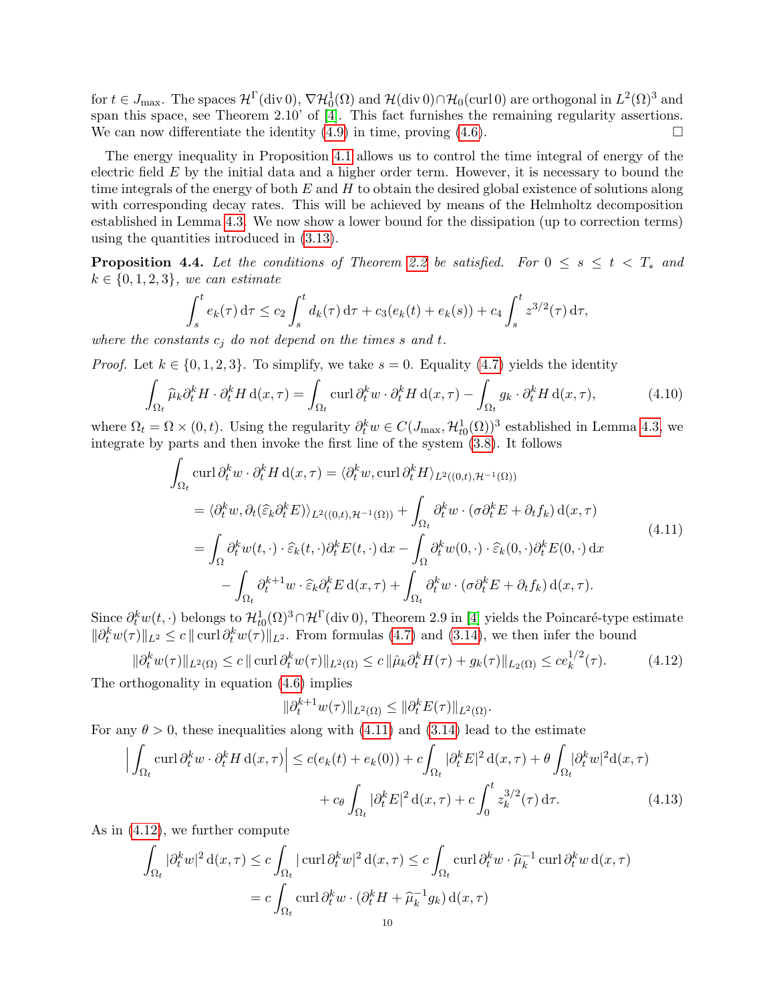for  $t \in J_{\text{max}}$ . The spaces  $\mathcal{H}^{\Gamma}(\text{div } 0)$ ,  $\nabla \mathcal{H}^1_0(\Omega)$  and  $\mathcal{H}(\text{div } 0) \cap \mathcal{H}_0(\text{curl } 0)$  are orthogonal in  $L^2(\Omega)^3$  and span this space, see Theorem 2.10' of [\[4\]](#page-23-14). This fact furnishes the remaining regularity assertions. We can now differentiate the identity  $(4.9)$  in time, proving  $(4.6)$ .

The energy inequality in Proposition [4.1](#page-6-0) allows us to control the time integral of energy of the electric field  $E$  by the initial data and a higher order term. However, it is necessary to bound the time integrals of the energy of both  $E$  and  $H$  to obtain the desired global existence of solutions along with corresponding decay rates. This will be achieved by means of the Helmholtz decomposition established in Lemma [4.3.](#page-8-0) We now show a lower bound for the dissipation (up to correction terms) using the quantities introduced in [\(3.13\)](#page-5-2).

<span id="page-9-0"></span>**Proposition 4.4.** Let the conditions of Theorem [2.2](#page-3-0) be satisfied. For  $0 \leq s \leq t \leq T_*$  and  $k \in \{0, 1, 2, 3\}$ , we can estimate

$$
\int_s^t e_k(\tau) d\tau \leq c_2 \int_s^t d_k(\tau) d\tau + c_3(e_k(t) + e_k(s)) + c_4 \int_s^t z^{3/2}(\tau) d\tau,
$$

where the constants  $c_i$  do not depend on the times s and t.

*Proof.* Let  $k \in \{0, 1, 2, 3\}$ . To simplify, we take  $s = 0$ . Equality [\(4.7\)](#page-8-4) yields the identity

<span id="page-9-4"></span>
$$
\int_{\Omega_t} \widehat{\mu}_k \partial_t^k H \cdot \partial_t^k H \, \mathrm{d}(x,\tau) = \int_{\Omega_t} \operatorname{curl} \partial_t^k w \cdot \partial_t^k H \, \mathrm{d}(x,\tau) - \int_{\Omega_t} g_k \cdot \partial_t^k H \, \mathrm{d}(x,\tau),\tag{4.10}
$$

where  $\Omega_t = \Omega \times (0, t)$ . Using the regularity  $\partial_t^k w \in C(J_{\max}, \mathcal{H}_{t0}^1(\Omega))^3$  established in Lemma [4.3,](#page-8-0) we integrate by parts and then invoke the first line of the system [\(3.8\)](#page-5-0). It follows

$$
\int_{\Omega_t} \operatorname{curl} \partial_t^k w \cdot \partial_t^k H \, d(x, \tau) = \langle \partial_t^k w, \operatorname{curl} \partial_t^k H \rangle_{L^2((0,t), \mathcal{H}^{-1}(\Omega))}
$$
\n
$$
= \langle \partial_t^k w, \partial_t (\widehat{\varepsilon}_k \partial_t^k E) \rangle_{L^2((0,t), \mathcal{H}^{-1}(\Omega))} + \int_{\Omega_t} \partial_t^k w \cdot (\sigma \partial_t^k E + \partial_t f_k) \, d(x, \tau)
$$
\n
$$
= \int_{\Omega} \partial_t^k w(t, \cdot) \cdot \widehat{\varepsilon}_k(t, \cdot) \partial_t^k E(t, \cdot) \, dx - \int_{\Omega} \partial_t^k w(0, \cdot) \cdot \widehat{\varepsilon}_k(0, \cdot) \partial_t^k E(0, \cdot) \, dx
$$
\n
$$
- \int_{\Omega_t} \partial_t^{k+1} w \cdot \widehat{\varepsilon}_k \partial_t^k E \, d(x, \tau) + \int_{\Omega_t} \partial_t^k w \cdot (\sigma \partial_t^k E + \partial_t f_k) \, d(x, \tau).
$$
\n(4.11)

Since  $\partial_t^k w(t, \cdot)$  belongs to  $\mathcal{H}_{t0}^1(\Omega)^3 \cap \mathcal{H}^{\Gamma}(\text{div } 0)$ , Theorem 2.9 in [\[4\]](#page-23-14) yields the Poincaré-type estimate  $\|\partial_t^k w(\tau)\|_{L^2} \leq c \| \operatorname{curl} \partial_t^k w(\tau) \|_{L^2}$ . From formulas [\(4.7\)](#page-8-4) and [\(3.14\)](#page-6-2), we then infer the bound

<span id="page-9-2"></span>
$$
\|\partial_t^k w(\tau)\|_{L^2(\Omega)} \le c \|\operatorname{curl} \partial_t^k w(\tau)\|_{L^2(\Omega)} \le c \|\hat{\mu}_k \partial_t^k H(\tau) + g_k(\tau)\|_{L_2(\Omega)} \le c e_k^{1/2}(\tau). \tag{4.12}
$$

The orthogonality in equation [\(4.6\)](#page-8-2) implies

<span id="page-9-3"></span><span id="page-9-1"></span>
$$
\|\partial_t^{k+1} w(\tau)\|_{L^2(\Omega)} \le \|\partial_t^k E(\tau)\|_{L^2(\Omega)}.
$$

For any  $\theta > 0$ , these inequalities along with [\(4.11\)](#page-9-1) and [\(3.14\)](#page-6-2) lead to the estimate

$$
\int_{\Omega_t} \operatorname{curl} \partial_t^k w \cdot \partial_t^k H \, \mathrm{d}(x, \tau) \Big| \le c(e_k(t) + e_k(0)) + c \int_{\Omega_t} |\partial_t^k E|^2 \, \mathrm{d}(x, \tau) + \theta \int_{\Omega_t} |\partial_t^k w|^2 \mathrm{d}(x, \tau) + c_{\theta} \int_{\Omega_t} |\partial_t^k E|^2 \, \mathrm{d}(x, \tau) + c \int_0^t z_k^{3/2}(\tau) \, \mathrm{d}\tau. \tag{4.13}
$$

As in [\(4.12\)](#page-9-2), we further compute

 $\overline{\phantom{a}}$ I  $\mid$ 

$$
\int_{\Omega_t} |\partial_t^k w|^2 d(x,\tau) \leq c \int_{\Omega_t} |\operatorname{curl} \partial_t^k w|^2 d(x,\tau) \leq c \int_{\Omega_t} \operatorname{curl} \partial_t^k w \cdot \widehat{\mu}_k^{-1} \operatorname{curl} \partial_t^k w d(x,\tau)
$$

$$
= c \int_{\Omega_t} \operatorname{curl} \partial_t^k w \cdot (\partial_t^k H + \widehat{\mu}_k^{-1} g_k) d(x,\tau)
$$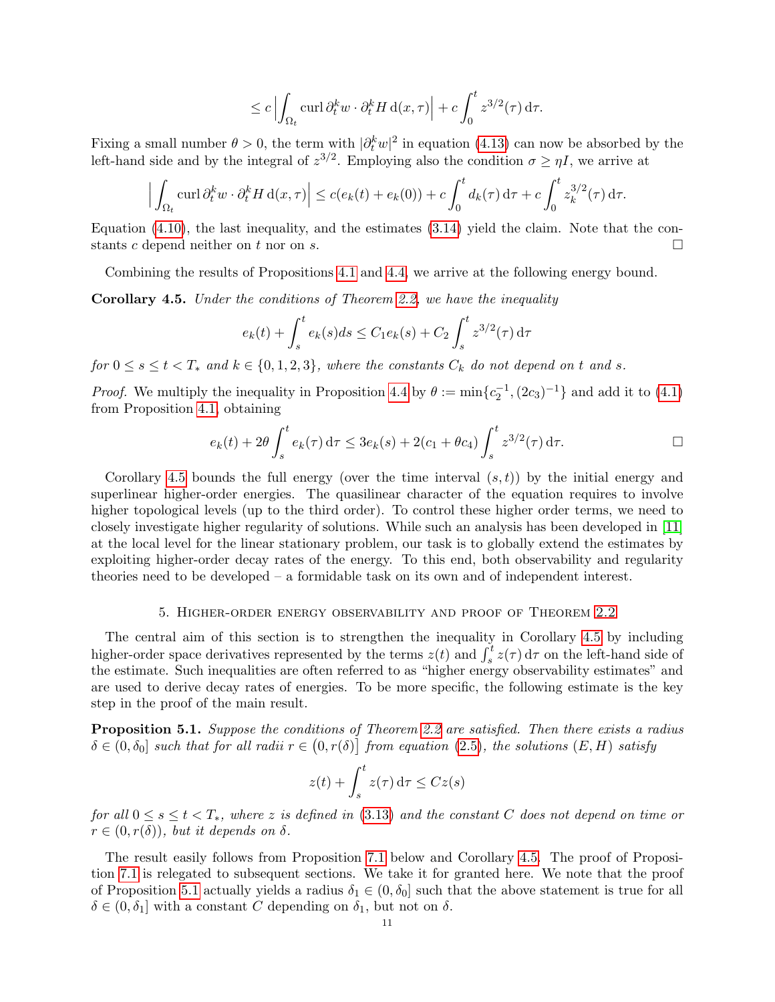$$
\leq c \left| \int_{\Omega_t} \operatorname{curl} \partial_t^k w \cdot \partial_t^k H \, \mathrm{d}(x, \tau) \right| + c \int_0^t z^{3/2}(\tau) \, \mathrm{d}\tau.
$$

Fixing a small number  $\theta > 0$ , the term with  $|\partial_t^k w|^2$  in equation [\(4.13\)](#page-9-3) can now be absorbed by the left-hand side and by the integral of  $z^{3/2}$ . Employing also the condition  $\sigma \ge \eta I$ , we arrive at

$$
\Big|\int_{\Omega_t} \operatorname{curl} \partial_t^k w \cdot \partial_t^k H \,d(x,\tau)\Big| \le c(e_k(t) + e_k(0)) + c \int_0^t d_k(\tau) \,d\tau + c \int_0^t z_k^{3/2}(\tau) \,d\tau.
$$

Equation  $(4.10)$ , the last inequality, and the estimates  $(3.14)$  yield the claim. Note that the constants c depend neither on t nor on s.  $\square$ 

Combining the results of Propositions [4.1](#page-6-0) and [4.4,](#page-9-0) we arrive at the following energy bound.

<span id="page-10-1"></span>Corollary 4.5. Under the conditions of Theorem [2.2,](#page-3-0) we have the inequality

$$
e_k(t) + \int_s^t e_k(s)ds \le C_1 e_k(s) + C_2 \int_s^t z^{3/2}(\tau) d\tau
$$

for  $0 \le s \le t < T_*$  and  $k \in \{0, 1, 2, 3\}$ , where the constants  $C_k$  do not depend on t and s.

*Proof.* We multiply the inequality in Proposition [4.4](#page-9-0) by  $\theta := \min\{c_2^{-1}, (2c_3)^{-1}\}\$ and add it to  $(4.1)$ from Proposition [4.1,](#page-6-0) obtaining

$$
e_k(t) + 2\theta \int_s^t e_k(\tau) d\tau \le 3e_k(s) + 2(c_1 + \theta c_4) \int_s^t z^{3/2}(\tau) d\tau.
$$

Corollary [4.5](#page-10-1) bounds the full energy (over the time interval  $(s, t)$ ) by the initial energy and superlinear higher-order energies. The quasilinear character of the equation requires to involve higher topological levels (up to the third order). To control these higher order terms, we need to closely investigate higher regularity of solutions. While such an analysis has been developed in [\[11\]](#page-23-15) at the local level for the linear stationary problem, our task is to globally extend the estimates by exploiting higher-order decay rates of the energy. To this end, both observability and regularity theories need to be developed – a formidable task on its own and of independent interest.

#### 5. Higher-order energy observability and proof of Theorem [2.2](#page-3-0)

<span id="page-10-0"></span>The central aim of this section is to strengthen the inequality in Corollary [4.5](#page-10-1) by including higher-order space derivatives represented by the terms  $z(t)$  and  $\int_s^t z(\tau) d\tau$  on the left-hand side of the estimate. Such inequalities are often referred to as "higher energy observability estimates" and are used to derive decay rates of energies. To be more specific, the following estimate is the key step in the proof of the main result.

<span id="page-10-2"></span>**Proposition 5.1.** Suppose the conditions of Theorem [2.2](#page-3-0) are satisfied. Then there exists a radius  $\delta \in (0, \delta_0]$  such that for all radii  $r \in (0, r(\delta)]$  from equation [\(2.5\)](#page-2-3), the solutions  $(E, H)$  satisfy

$$
z(t) + \int_{s}^{t} z(\tau) d\tau \le Cz(s)
$$

for all  $0 \leq s \leq t \leq T_*$ , where z is defined in [\(3.13\)](#page-5-2) and the constant C does not depend on time or  $r \in (0, r(\delta))$ , but it depends on  $\delta$ .

The result easily follows from Proposition [7.1](#page-15-0) below and Corollary [4.5.](#page-10-1) The proof of Proposition [7.1](#page-15-0) is relegated to subsequent sections. We take it for granted here. We note that the proof of Proposition [5.1](#page-10-2) actually yields a radius  $\delta_1 \in (0, \delta_0]$  such that the above statement is true for all  $\delta \in (0, \delta_1]$  with a constant C depending on  $\delta_1$ , but not on  $\delta$ .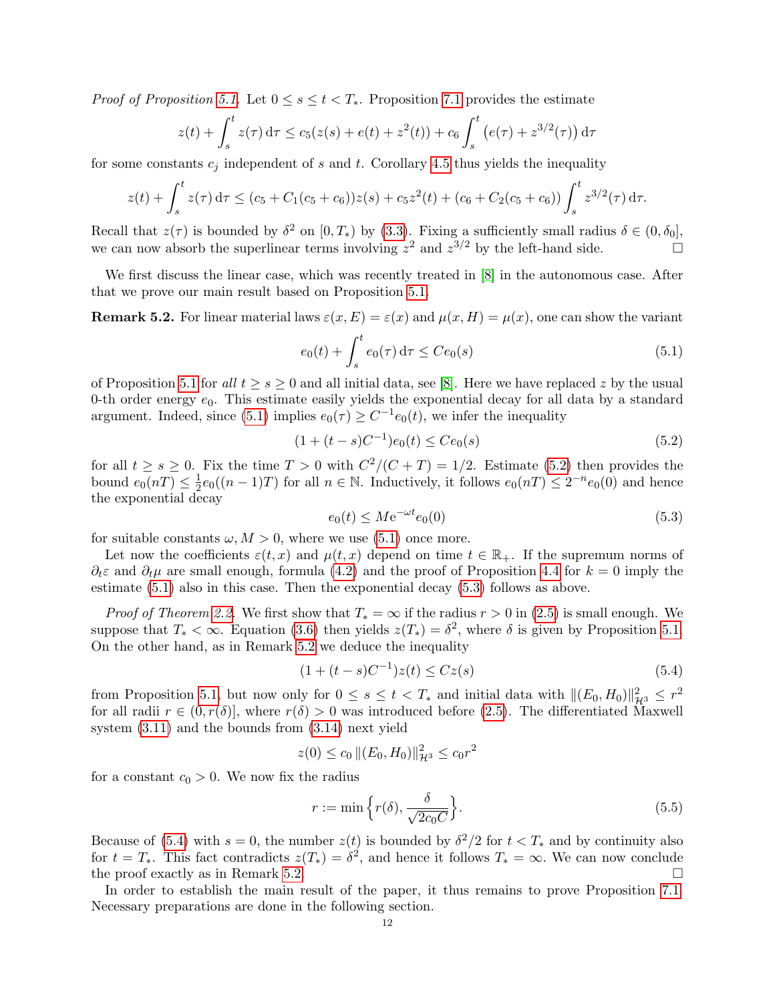*Proof of Proposition [5.1.](#page-10-2)* Let  $0 \leq s \leq t \leq T_*$ . Proposition [7.1](#page-15-0) provides the estimate

$$
z(t) + \int_{s}^{t} z(\tau) d\tau \le c_5(z(s) + e(t) + z^2(t)) + c_6 \int_{s}^{t} (e(\tau) + z^{3/2}(\tau)) d\tau
$$

for some constants  $c_j$  independent of s and t. Corollary [4.5](#page-10-1) thus yields the inequality

$$
z(t) + \int_{s}^{t} z(\tau) d\tau \le (c_5 + C_1(c_5 + c_6))z(s) + c_5 z^2(t) + (c_6 + C_2(c_5 + c_6)) \int_{s}^{t} z^{3/2}(\tau) d\tau.
$$

Recall that  $z(\tau)$  is bounded by  $\delta^2$  on  $[0, T_*)$  by [\(3.3\)](#page-4-1). Fixing a sufficiently small radius  $\delta \in (0, \delta_0],$ we can now absorb the superlinear terms involving  $z^2$  and  $z^{3/2}$  by the left-hand side.

We first discuss the linear case, which was recently treated in  $[8]$  in the autonomous case. After that we prove our main result based on Proposition [5.1.](#page-10-2)

<span id="page-11-3"></span>**Remark 5.2.** For linear material laws  $\varepsilon(x, E) = \varepsilon(x)$  and  $\mu(x, H) = \mu(x)$ , one can show the variant

<span id="page-11-0"></span>
$$
e_0(t) + \int_s^t e_0(\tau) d\tau \le Ce_0(s)
$$
\n(5.1)

of Proposition [5.1](#page-10-2) for all  $t \geq s \geq 0$  and all initial data, see [\[8\]](#page-23-4). Here we have replaced z by the usual 0-th order energy  $e_0$ . This estimate easily yields the exponential decay for all data by a standard argument. Indeed, since [\(5.1\)](#page-11-0) implies  $e_0(\tau) \geq C^{-1}e_0(t)$ , we infer the inequality

<span id="page-11-1"></span>
$$
(1 + (t - s)C^{-1})e_0(t) \le Ce_0(s)
$$
\n(5.2)

for all  $t \geq s \geq 0$ . Fix the time  $T > 0$  with  $C^2/(C+T) = 1/2$ . Estimate [\(5.2\)](#page-11-1) then provides the bound  $e_0(nT) \leq \frac{1}{2}$  $\frac{1}{2}e_0((n-1)T)$  for all  $n \in \mathbb{N}$ . Inductively, it follows  $e_0(nT) \leq 2^{-n}e_0(0)$  and hence the exponential decay

<span id="page-11-2"></span>
$$
e_0(t) \le M e^{-\omega t} e_0(0) \tag{5.3}
$$

for suitable constants  $\omega, M > 0$ , where we use [\(5.1\)](#page-11-0) once more.

Let now the coefficients  $\varepsilon(t, x)$  and  $\mu(t, x)$  depend on time  $t \in \mathbb{R}_{+}$ . If the supremum norms of  $\partial_t \varepsilon$  and  $\partial_t \mu$  are small enough, formula [\(4.2\)](#page-6-4) and the proof of Proposition [4.4](#page-9-0) for  $k = 0$  imply the estimate [\(5.1\)](#page-11-0) also in this case. Then the exponential decay [\(5.3\)](#page-11-2) follows as above.

*Proof of Theorem [2.2.](#page-3-0)* We first show that  $T_* = \infty$  if the radius  $r > 0$  in [\(2.5\)](#page-2-3) is small enough. We suppose that  $T_* < \infty$ . Equation [\(3.6\)](#page-5-6) then yields  $z(T_*) = \delta^2$ , where  $\delta$  is given by Proposition [5.1.](#page-10-2) On the other hand, as in Remark [5.2](#page-11-3) we deduce the inequality

<span id="page-11-4"></span>
$$
(1 + (t - s)C^{-1})z(t) \le Cz(s)
$$
\n(5.4)

from Proposition [5.1,](#page-10-2) but now only for  $0 \le s \le t < T_*$  and initial data with  $||(E_0, H_0)||_{\mathcal{H}^3}^2 \le r^2$ for all radii  $r \in (0, r(\delta))$ , where  $r(\delta) > 0$  was introduced before [\(2.5\)](#page-2-3). The differentiated Maxwell system [\(3.11\)](#page-5-3) and the bounds from [\(3.14\)](#page-6-2) next yield

$$
z(0) \le c_0 ||(E_0, H_0)||_{\mathcal{H}^3}^2 \le c_0 r^2
$$

for a constant  $c_0 > 0$ . We now fix the radius

$$
r := \min\left\{r(\delta), \frac{\delta}{\sqrt{2c_0 C}}\right\}.
$$
\n(5.5)

Because of [\(5.4\)](#page-11-4) with  $s = 0$ , the number  $z(t)$  is bounded by  $\delta^2/2$  for  $t < T_*$  and by continuity also for  $t = T_*$ . This fact contradicts  $z(T_*) = \delta^2$ , and hence it follows  $T_* = \infty$ . We can now conclude the proof exactly as in Remark [5.2.](#page-11-3)

In order to establish the main result of the paper, it thus remains to prove Proposition [7.1.](#page-15-0) Necessary preparations are done in the following section.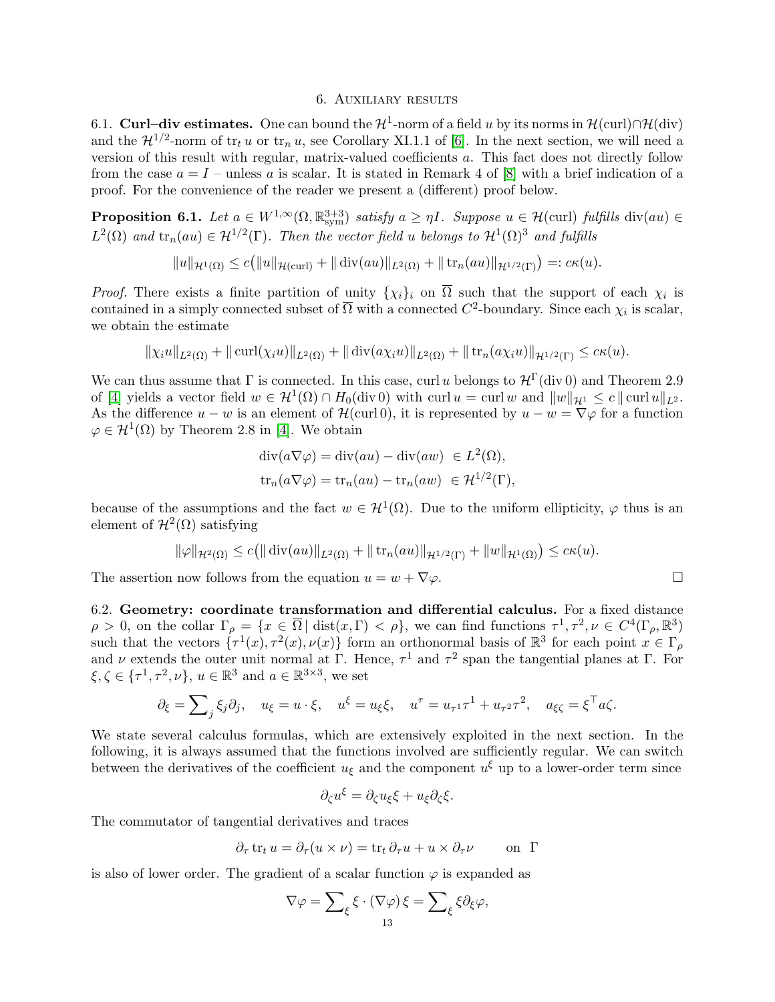### 6. Auxiliary results

<span id="page-12-0"></span>6.1. Curl–div estimates. One can bound the  $\mathcal{H}^1$ -norm of a field u by its norms in  $\mathcal{H}(\text{curl})\cap\mathcal{H}(\text{div})$ and the  $\mathcal{H}^{1/2}$ -norm of tr<sub>t</sub> u or tr<sub>n</sub> u, see Corollary XI.1.1 of [\[6\]](#page-23-12). In the next section, we will need a version of this result with regular, matrix-valued coefficients a. This fact does not directly follow from the case  $a = I$  – unless a is scalar. It is stated in Remark 4 of [\[8\]](#page-23-4) with a brief indication of a proof. For the convenience of the reader we present a (different) proof below.

<span id="page-12-1"></span>**Proposition 6.1.** Let  $a \in W^{1,\infty}(\Omega, \mathbb{R}^{3+3}_{sym})$  satisfy  $a \geq \eta I$ . Suppose  $u \in \mathcal{H}(\text{curl})$  fulfills  $\text{div}(au) \in$  $L^2(\Omega)$  and  $\text{tr}_n(au) \in \mathcal{H}^{1/2}(\Gamma)$ . Then the vector field u belongs to  $\mathcal{H}^1(\Omega)^3$  and fulfills

$$
||u||_{\mathcal{H}^{1}(\Omega)} \leq c(||u||_{\mathcal{H}(\text{curl})} + ||\operatorname{div}(au)||_{L^{2}(\Omega)} + ||\operatorname{tr}_{n}(au)||_{\mathcal{H}^{1/2}(\Gamma)}) =: c\kappa(u).
$$

*Proof.* There exists a finite partition of unity  $\{\chi_i\}_i$  on  $\overline{\Omega}$  such that the support of each  $\chi_i$  is contained in a simply connected subset of  $\overline{\Omega}$  with a connected  $C^2$ -boundary. Since each  $\chi_i$  is scalar, we obtain the estimate

$$
\|\chi_i u\|_{L^2(\Omega)} + \|\operatorname{curl}(\chi_i u)\|_{L^2(\Omega)} + \|\operatorname{div}(a\chi_i u)\|_{L^2(\Omega)} + \|\operatorname{tr}_n(a\chi_i u)\|_{\mathcal{H}^{1/2}(\Gamma)} \leq c\kappa(u).
$$

We can thus assume that  $\Gamma$  is connected. In this case, curl u belongs to  $\mathcal{H}^{\Gamma}(\text{div } 0)$  and Theorem 2.9 of [\[4\]](#page-23-14) yields a vector field  $w \in H^1(\Omega) \cap H_0(\text{div } 0)$  with curl  $u = \text{curl } w$  and  $||w||_{H^1} \leq c ||\text{curl } u||_{L^2}$ . As the difference  $u - w$  is an element of  $\mathcal{H}(\text{curl } 0)$ , it is represented by  $u - w = \nabla \varphi$  for a function  $\varphi \in \mathcal{H}^1(\Omega)$  by Theorem 2.8 in [\[4\]](#page-23-14). We obtain

$$
\operatorname{div}(a\nabla\varphi) = \operatorname{div}(au) - \operatorname{div}(aw) \in L^{2}(\Omega),
$$
  

$$
\operatorname{tr}_{n}(a\nabla\varphi) = \operatorname{tr}_{n}(au) - \operatorname{tr}_{n}(aw) \in \mathcal{H}^{1/2}(\Gamma),
$$

because of the assumptions and the fact  $w \in H^1(\Omega)$ . Due to the uniform ellipticity,  $\varphi$  thus is an element of  $\mathcal{H}^2(\Omega)$  satisfying

$$
\|\varphi\|_{\mathcal{H}^2(\Omega)} \le c \big( \|\operatorname{div}(au)\|_{L^2(\Omega)} + \|\operatorname{tr}_n(au)\|_{\mathcal{H}^{1/2}(\Gamma)} + \|w\|_{\mathcal{H}^1(\Omega)} \big) \le c\kappa(u).
$$

The assertion now follows from the equation  $u = w + \nabla \varphi$ .

6.2. Geometry: coordinate transformation and differential calculus. For a fixed distance  $\rho > 0$ , on the collar  $\Gamma_{\rho} = \{x \in \overline{\Omega} \mid \text{dist}(x, \Gamma) < \rho\}$ , we can find functions  $\tau^1, \tau^2, \nu \in C^4(\Gamma_{\rho}, \mathbb{R}^3)$ such that the vectors  $\{\tau^1(x), \tau^2(x), \nu(x)\}$  form an orthonormal basis of  $\mathbb{R}^3$  for each point  $x \in \Gamma_\rho$ and  $\nu$  extends the outer unit normal at Γ. Hence,  $\tau^1$  and  $\tau^2$  span the tangential planes at Γ. For  $\xi, \zeta \in {\{\tau^1, \tau^2, \nu\}}, u \in \mathbb{R}^3$  and  $a \in \mathbb{R}^{3 \times 3}$ , we set

$$
\partial_{\xi} = \sum_{j} \xi_{j} \partial_{j}, \quad u_{\xi} = u \cdot \xi, \quad u^{\xi} = u_{\xi} \xi, \quad u^{\tau} = u_{\tau^{1}} \tau^{1} + u_{\tau^{2}} \tau^{2}, \quad a_{\xi\zeta} = \xi^{\top} a \zeta.
$$

We state several calculus formulas, which are extensively exploited in the next section. In the following, it is always assumed that the functions involved are sufficiently regular. We can switch between the derivatives of the coefficient  $u_{\xi}$  and the component  $u^{\xi}$  up to a lower-order term since

$$
\partial_{\zeta}u^{\xi} = \partial_{\zeta}u_{\xi}\xi + u_{\xi}\partial_{\zeta}\xi.
$$

The commutator of tangential derivatives and traces

$$
\partial_{\tau} \operatorname{tr}_t u = \partial_{\tau} (u \times \nu) = \operatorname{tr}_t \partial_{\tau} u + u \times \partial_{\tau} \nu \quad \text{on } \Gamma
$$

is also of lower order. The gradient of a scalar function  $\varphi$  is expanded as

$$
\nabla \varphi = \sum_{\xi} \xi \cdot (\nabla \varphi) \xi = \sum_{\xi} \xi \partial_{\xi} \varphi,
$$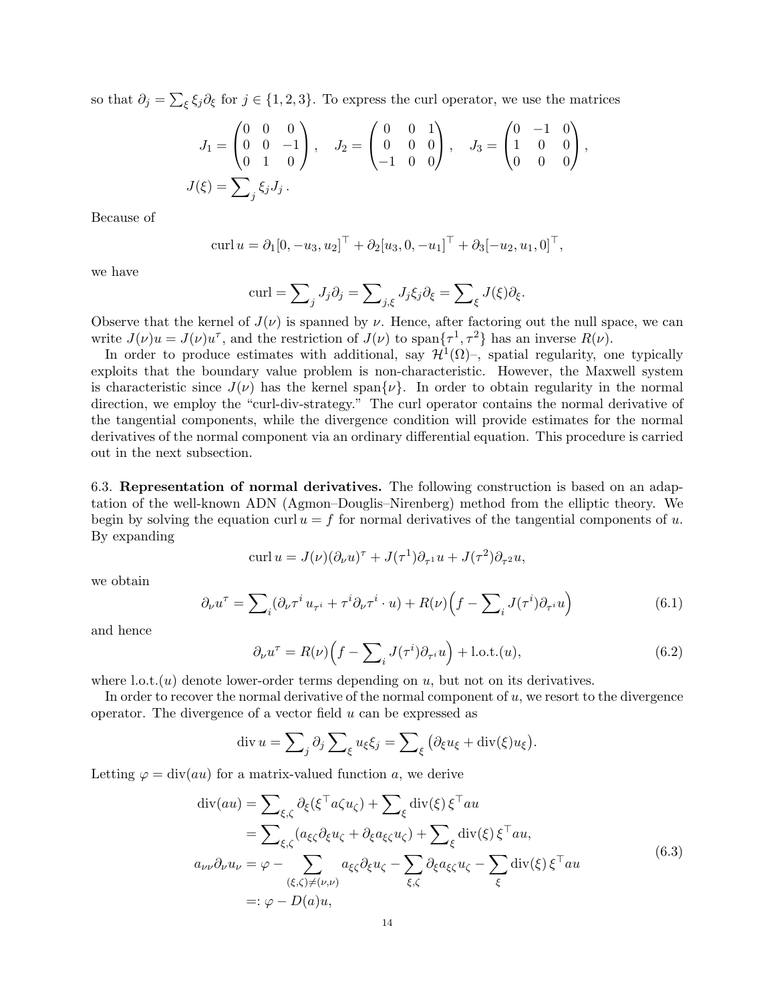so that  $\partial_j = \sum_{\xi} \xi_j \partial_{\xi}$  for  $j \in \{1, 2, 3\}$ . To express the curl operator, we use the matrices

$$
J_1 = \begin{pmatrix} 0 & 0 & 0 \\ 0 & 0 & -1 \\ 0 & 1 & 0 \end{pmatrix}, \quad J_2 = \begin{pmatrix} 0 & 0 & 1 \\ 0 & 0 & 0 \\ -1 & 0 & 0 \end{pmatrix}, \quad J_3 = \begin{pmatrix} 0 & -1 & 0 \\ 1 & 0 & 0 \\ 0 & 0 & 0 \end{pmatrix},
$$

$$
J(\xi) = \sum_j \xi_j J_j.
$$

Because of

curl 
$$
u = \partial_1 [0, -u_3, u_2]^\top + \partial_2 [u_3, 0, -u_1]^\top + \partial_3 [-u_2, u_1, 0]^\top
$$
,

we have

$$
\operatorname{curl} = \sum_j J_j \partial_j = \sum_{j,\xi} J_j \xi_j \partial_\xi = \sum_\xi J(\xi) \partial_\xi.
$$

Observe that the kernel of  $J(\nu)$  is spanned by  $\nu$ . Hence, after factoring out the null space, we can write  $J(\nu)u = J(\nu)u^{\tau}$ , and the restriction of  $J(\nu)$  to span $\{\tau^1, \tau^2\}$  has an inverse  $R(\nu)$ .

In order to produce estimates with additional, say  $\mathcal{H}^1(\Omega)$ -, spatial regularity, one typically exploits that the boundary value problem is non-characteristic. However, the Maxwell system is characteristic since  $J(\nu)$  has the kernel span $\{\nu\}$ . In order to obtain regularity in the normal direction, we employ the "curl-div-strategy." The curl operator contains the normal derivative of the tangential components, while the divergence condition will provide estimates for the normal derivatives of the normal component via an ordinary differential equation. This procedure is carried out in the next subsection.

<span id="page-13-2"></span>6.3. Representation of normal derivatives. The following construction is based on an adaptation of the well-known ADN (Agmon–Douglis–Nirenberg) method from the elliptic theory. We begin by solving the equation curl  $u = f$  for normal derivatives of the tangential components of u. By expanding

$$
\operatorname{curl} u = J(\nu)(\partial_{\nu}u)^{\tau} + J(\tau^{1})\partial_{\tau^{1}}u + J(\tau^{2})\partial_{\tau^{2}}u,
$$

we obtain

<span id="page-13-1"></span>
$$
\partial_{\nu}u^{\tau} = \sum_{i} (\partial_{\nu}\tau^{i} u_{\tau^{i}} + \tau^{i}\partial_{\nu}\tau^{i} \cdot u) + R(\nu)\Big(f - \sum_{i} J(\tau^{i})\partial_{\tau^{i}}u\Big) \tag{6.1}
$$

and hence

$$
\partial_{\nu}u^{\tau} = R(\nu)\left(f - \sum_{i} J(\tau^{i})\partial_{\tau^{i}}u\right) + \text{l.o.t.}(u),\tag{6.2}
$$

where  $l.o.t.(u)$  denote lower-order terms depending on  $u$ , but not on its derivatives.

In order to recover the normal derivative of the normal component of  $u$ , we resort to the divergence operator. The divergence of a vector field  $u$  can be expressed as

<span id="page-13-0"></span>
$$
\operatorname{div} u = \sum_{j} \partial_j \sum_{\xi} u_{\xi} \xi_j = \sum_{\xi} \left( \partial_{\xi} u_{\xi} + \operatorname{div}(\xi) u_{\xi} \right).
$$

Letting  $\varphi = \text{div}(au)$  for a matrix-valued function a, we derive

$$
\operatorname{div}(au) = \sum_{\xi,\zeta} \partial_{\xi} (\xi^{\top} a \zeta u_{\zeta}) + \sum_{\xi} \operatorname{div}(\xi) \xi^{\top} au
$$
  
\n
$$
= \sum_{\xi,\zeta} (a_{\xi\zeta} \partial_{\xi} u_{\zeta} + \partial_{\xi} a_{\xi\zeta} u_{\zeta}) + \sum_{\xi} \operatorname{div}(\xi) \xi^{\top} au,
$$
  
\n
$$
a_{\nu\nu} \partial_{\nu} u_{\nu} = \varphi - \sum_{(\xi,\zeta) \neq (\nu,\nu)} a_{\xi\zeta} \partial_{\xi} u_{\zeta} - \sum_{\xi,\zeta} \partial_{\xi} a_{\xi\zeta} u_{\zeta} - \sum_{\xi} \operatorname{div}(\xi) \xi^{\top} au
$$
  
\n
$$
=:\varphi - D(a)u,
$$
\n(6.3)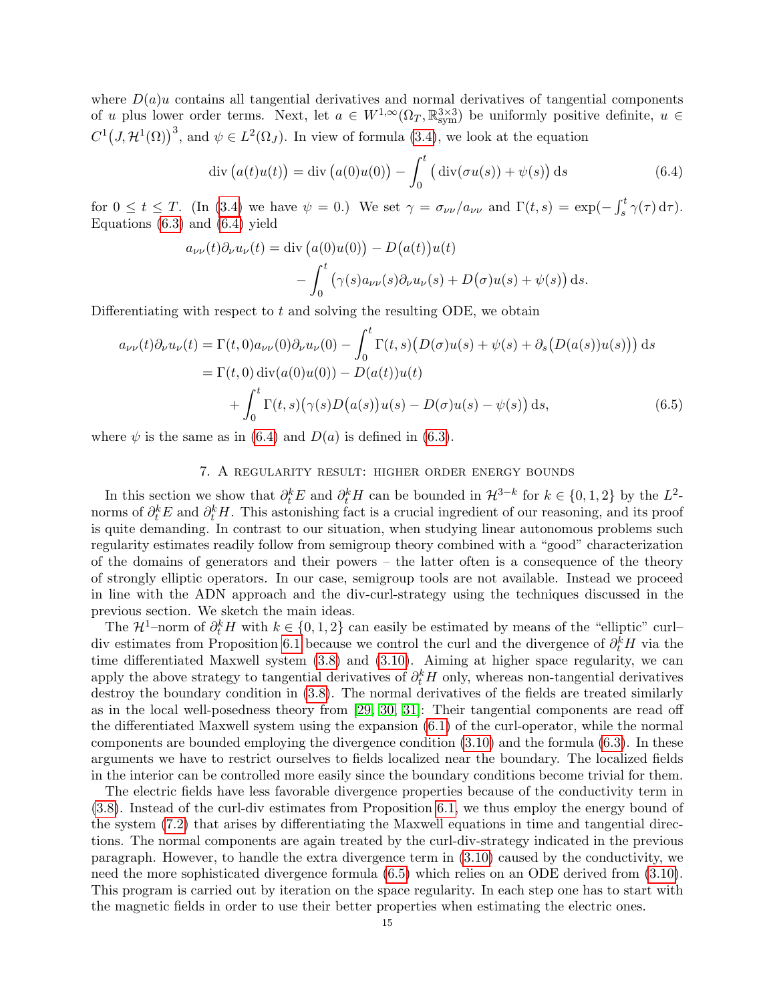where  $D(a)u$  contains all tangential derivatives and normal derivatives of tangential components of u plus lower order terms. Next, let  $a \in W^{1,\infty}(\Omega_T, \mathbb{R}^{3\times 3}_{sym})$  be uniformly positive definite,  $u \in$  $C^1(J, \mathcal{H}^1(\Omega))^3$ , and  $\psi \in L^2(\Omega_J)$ . In view of formula [\(3.4\)](#page-4-0), we look at the equation

<span id="page-14-1"></span>
$$
\operatorname{div}\left(a(t)u(t)\right) = \operatorname{div}\left(a(0)u(0)\right) - \int_0^t \left(\operatorname{div}(\sigma u(s)) + \psi(s)\right) ds \tag{6.4}
$$

for  $0 \le t \le T$ . (In [\(3.4\)](#page-4-0) we have  $\psi = 0$ .) We set  $\gamma = \sigma_{\nu\nu}/a_{\nu\nu}$  and  $\Gamma(t,s) = \exp(-\int_s^t \gamma(\tau) d\tau)$ . Equations  $(6.3)$  and  $(6.4)$  yield

$$
a_{\nu\nu}(t)\partial_{\nu}u_{\nu}(t) = \text{div}\left(a(0)u(0)\right) - D\big(a(t)\big)u(t)
$$

$$
-\int_0^t \big(\gamma(s)a_{\nu\nu}(s)\partial_{\nu}u_{\nu}(s) + D\big(\sigma\big)u(s) + \psi(s)\big) ds.
$$

Differentiating with respect to  $t$  and solving the resulting ODE, we obtain

$$
a_{\nu\nu}(t)\partial_{\nu}u_{\nu}(t) = \Gamma(t,0)a_{\nu\nu}(0)\partial_{\nu}u_{\nu}(0) - \int_0^t \Gamma(t,s)\big(D(\sigma)u(s) + \psi(s) + \partial_s\big(D(a(s))u(s)\big)\big) ds
$$
  
=  $\Gamma(t,0)$  div $(a(0)u(0)) - D(a(t))u(t)$   
+  $\int_0^t \Gamma(t,s)\big(\gamma(s)D(a(s))u(s) - D(\sigma)u(s) - \psi(s)\big) ds,$  (6.5)

where  $\psi$  is the same as in [\(6.4\)](#page-14-1) and  $D(a)$  is defined in [\(6.3\)](#page-13-0).

### <span id="page-14-2"></span>7. A regularity result: higher order energy bounds

<span id="page-14-0"></span>In this section we show that  $\partial_t^k E$  and  $\partial_t^k H$  can be bounded in  $\mathcal{H}^{3-k}$  for  $k \in \{0,1,2\}$  by the  $L^2$ norms of  $\partial_t^k E$  and  $\partial_t^k H$ . This astonishing fact is a crucial ingredient of our reasoning, and its proof is quite demanding. In contrast to our situation, when studying linear autonomous problems such regularity estimates readily follow from semigroup theory combined with a "good" characterization of the domains of generators and their powers – the latter often is a consequence of the theory of strongly elliptic operators. In our case, semigroup tools are not available. Instead we proceed in line with the ADN approach and the div-curl-strategy using the techniques discussed in the previous section. We sketch the main ideas.

The  $\mathcal{H}^1$ –norm of  $\partial_t^k H$  with  $k \in \{0,1,2\}$  can easily be estimated by means of the "elliptic" curl– div estimates from Proposition [6.1](#page-12-1) because we control the curl and the divergence of  $\partial_t^k H$  via the time differentiated Maxwell system [\(3.8\)](#page-5-0) and [\(3.10\)](#page-5-1). Aiming at higher space regularity, we can apply the above strategy to tangential derivatives of  $\partial_t^k H$  only, whereas non-tangential derivatives destroy the boundary condition in [\(3.8\)](#page-5-0). The normal derivatives of the fields are treated similarly as in the local well-posedness theory from [\[29,](#page-24-14) [30,](#page-24-4) [31\]](#page-24-3): Their tangential components are read off the differentiated Maxwell system using the expansion [\(6.1\)](#page-13-1) of the curl-operator, while the normal components are bounded employing the divergence condition [\(3.10\)](#page-5-1) and the formula [\(6.3\)](#page-13-0). In these arguments we have to restrict ourselves to fields localized near the boundary. The localized fields in the interior can be controlled more easily since the boundary conditions become trivial for them.

The electric fields have less favorable divergence properties because of the conductivity term in [\(3.8\)](#page-5-0). Instead of the curl-div estimates from Proposition [6.1,](#page-12-1) we thus employ the energy bound of the system [\(7.2\)](#page-16-0) that arises by differentiating the Maxwell equations in time and tangential directions. The normal components are again treated by the curl-div-strategy indicated in the previous paragraph. However, to handle the extra divergence term in [\(3.10\)](#page-5-1) caused by the conductivity, we need the more sophisticated divergence formula [\(6.5\)](#page-14-2) which relies on an ODE derived from [\(3.10\)](#page-5-1). This program is carried out by iteration on the space regularity. In each step one has to start with the magnetic fields in order to use their better properties when estimating the electric ones.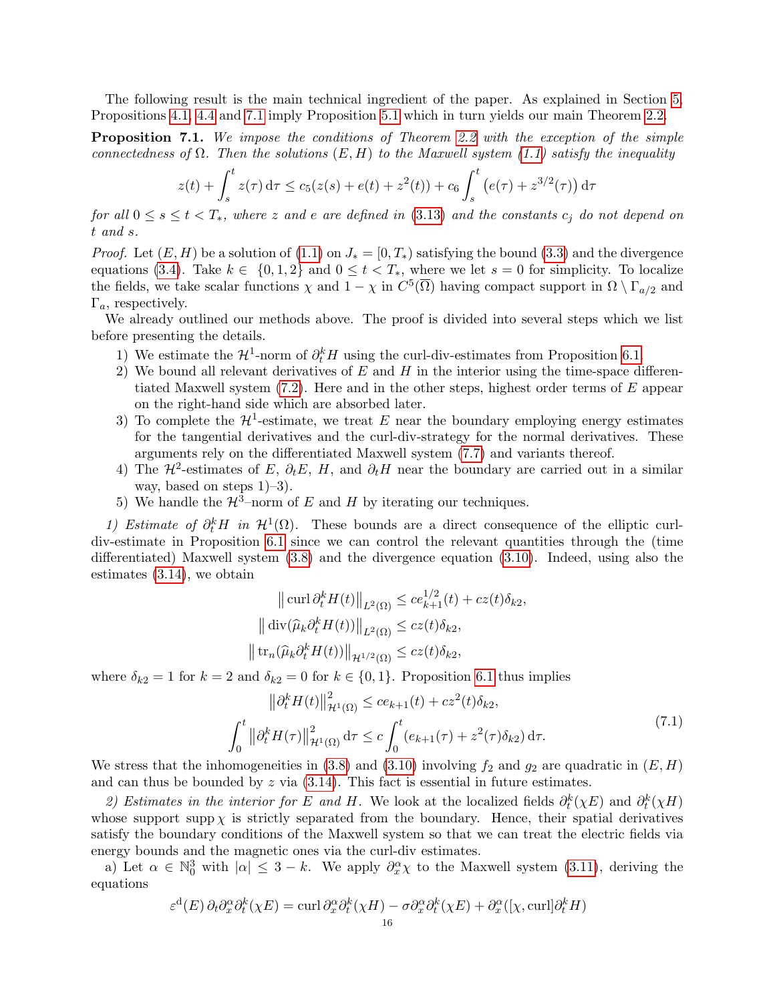The following result is the main technical ingredient of the paper. As explained in Section [5,](#page-10-0) Propositions [4.1,](#page-6-0) [4.4](#page-9-0) and [7.1](#page-15-0) imply Proposition [5.1](#page-10-2) which in turn yields our main Theorem [2.2.](#page-3-0)

<span id="page-15-0"></span>**Proposition 7.1.** We impose the conditions of Theorem [2.2](#page-3-0) with the exception of the simple connectedness of  $\Omega$ . Then the solutions  $(E, H)$  to the Maxwell system [\(1.1\)](#page-0-0) satisfy the inequality

$$
z(t) + \int_{s}^{t} z(\tau) d\tau \le c_5(z(s) + e(t) + z^2(t)) + c_6 \int_{s}^{t} (e(\tau) + z^{3/2}(\tau)) d\tau
$$

for all  $0 \leq s \leq t < T_*$ , where z and e are defined in [\(3.13\)](#page-5-2) and the constants  $c_j$  do not depend on t and s.

*Proof.* Let  $(E, H)$  be a solution of  $(1.1)$  on  $J_* = [0, T_*)$  satisfying the bound  $(3.3)$  and the divergence equations [\(3.4\)](#page-4-0). Take  $k \in \{0,1,2\}$  and  $0 \le t < T_*$ , where we let  $s = 0$  for simplicity. To localize the fields, we take scalar functions  $\chi$  and  $1-\chi$  in  $C^5(\overline{\Omega})$  having compact support in  $\Omega \setminus \Gamma_{a/2}$  and  $\Gamma_a$ , respectively.

We already outlined our methods above. The proof is divided into several steps which we list before presenting the details.

- 1) We estimate the  $\mathcal{H}^1$ -norm of  $\partial_t^k H$  using the curl-div-estimates from Proposition [6.1.](#page-12-1)
- 2) We bound all relevant derivatives of  $E$  and  $H$  in the interior using the time-space differentiated Maxwell system [\(7.2\)](#page-16-0). Here and in the other steps, highest order terms of E appear on the right-hand side which are absorbed later.
- 3) To complete the  $\mathcal{H}^1$ -estimate, we treat E near the boundary employing energy estimates for the tangential derivatives and the curl-div-strategy for the normal derivatives. These arguments rely on the differentiated Maxwell system [\(7.7\)](#page-17-0) and variants thereof.
- 4) The  $\mathcal{H}^2$ -estimates of E,  $\partial_t E$ , H, and  $\partial_t H$  near the boundary are carried out in a similar way, based on steps  $1$ )–3).
- 5) We handle the  $\mathcal{H}^3$ -norm of E and H by iterating our techniques.

1) Estimate of  $\partial_t^k H$  in  $\mathcal{H}^1(\Omega)$ . These bounds are a direct consequence of the elliptic curldiv-estimate in Proposition [6.1](#page-12-1) since we can control the relevant quantities through the (time differentiated) Maxwell system [\(3.8\)](#page-5-0) and the divergence equation [\(3.10\)](#page-5-1). Indeed, using also the estimates [\(3.14\)](#page-6-2), we obtain

$$
\| \operatorname{curl} \partial_t^k H(t) \|_{L^2(\Omega)} \le c e_{k+1}^{1/2}(t) + c z(t) \delta_{k2},
$$
  

$$
\| \operatorname{div}(\widehat{\mu}_k \partial_t^k H(t)) \|_{L^2(\Omega)} \le c z(t) \delta_{k2},
$$
  

$$
\| \operatorname{tr}_n(\widehat{\mu}_k \partial_t^k H(t)) \|_{H^{1/2}(\Omega)} \le c z(t) \delta_{k2},
$$

<span id="page-15-1"></span>where  $\delta_{k2} = 1$  for  $k = 2$  and  $\delta_{k2} = 0$  for  $k \in \{0, 1\}$ . Proposition [6.1](#page-12-1) thus implies

$$
\|\partial_t^k H(t)\|_{\mathcal{H}^1(\Omega)}^2 \le c e_{k+1}(t) + c z^2(t)\delta_{k2},
$$
  

$$
\int_0^t \|\partial_t^k H(\tau)\|_{\mathcal{H}^1(\Omega)}^2 d\tau \le c \int_0^t (e_{k+1}(\tau) + z^2(\tau)\delta_{k2}) d\tau.
$$
 (7.1)

We stress that the inhomogeneities in [\(3.8\)](#page-5-0) and [\(3.10\)](#page-5-1) involving  $f_2$  and  $g_2$  are quadratic in  $(E, H)$ and can thus be bounded by  $z$  via  $(3.14)$ . This fact is essential in future estimates.

2) Estimates in the interior for E and H. We look at the localized fields  $\partial_t^k(\chi E)$  and  $\partial_t^k(\chi H)$ whose support supp  $\chi$  is strictly separated from the boundary. Hence, their spatial derivatives satisfy the boundary conditions of the Maxwell system so that we can treat the electric fields via energy bounds and the magnetic ones via the curl-div estimates.

a) Let  $\alpha \in \mathbb{N}_0^3$  with  $|\alpha| \leq 3 - k$ . We apply  $\partial_x^{\alpha} \chi$  to the Maxwell system [\(3.11\)](#page-5-3), deriving the equations

$$
\varepsilon^{d}(E) \partial_{t} \partial_{x}^{\alpha} \partial_{t}^{k}(\chi E) = \operatorname{curl} \partial_{x}^{\alpha} \partial_{t}^{k}(\chi H) - \sigma \partial_{x}^{\alpha} \partial_{t}^{k}(\chi E) + \partial_{x}^{\alpha}([\chi, \operatorname{curl}] \partial_{t}^{k} H)
$$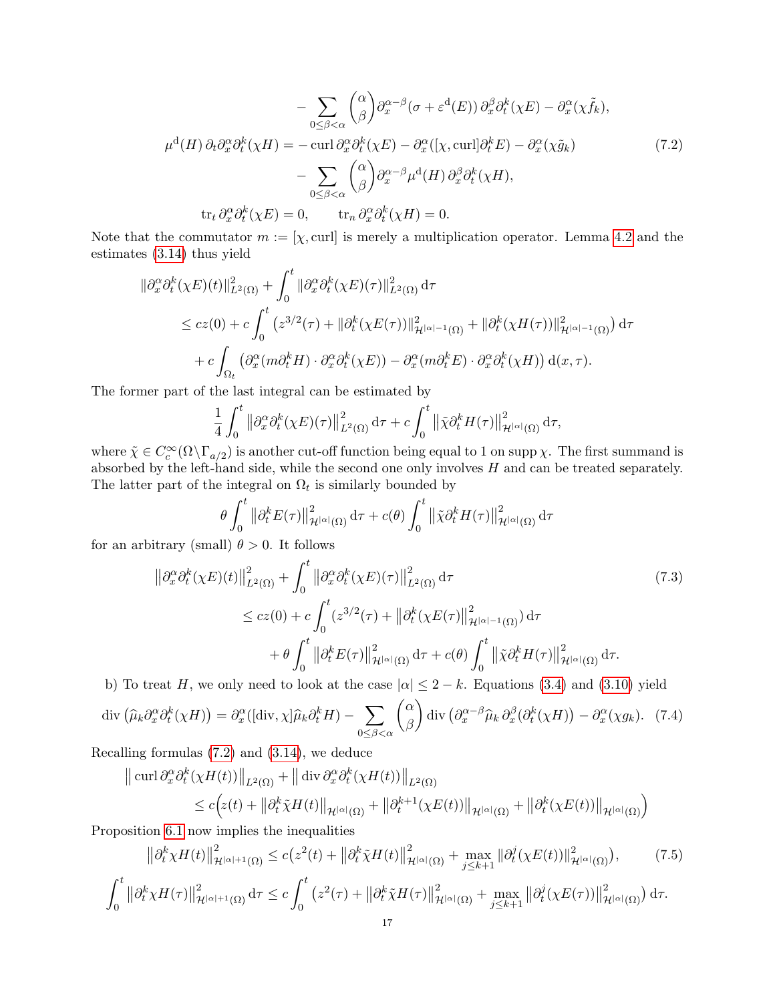<span id="page-16-0"></span>
$$
- \sum_{0 \leq \beta < \alpha} \binom{\alpha}{\beta} \partial_x^{\alpha-\beta} (\sigma + \varepsilon^{\mathrm{d}}(E)) \partial_x^{\beta} \partial_t^k (\chi E) - \partial_x^{\alpha} (\chi \tilde{f}_k),
$$
\n
$$
\mu^{\mathrm{d}}(H) \partial_t \partial_x^{\alpha} \partial_t^k (\chi H) = - \operatorname{curl} \partial_x^{\alpha} \partial_t^k (\chi E) - \partial_x^{\alpha} ([\chi, \operatorname{curl}] \partial_t^k E) - \partial_x^{\alpha} (\chi \tilde{g}_k)
$$
\n
$$
- \sum_{0 \leq \beta < \alpha} \binom{\alpha}{\beta} \partial_x^{\alpha-\beta} \mu^{\mathrm{d}}(H) \partial_x^{\beta} \partial_t^k (\chi H),
$$
\n
$$
\operatorname{tr}_t \partial_x^{\alpha} \partial_t^k (\chi E) = 0, \qquad \operatorname{tr}_n \partial_x^{\alpha} \partial_t^k (\chi H) = 0.
$$
\n(7.2)

Note that the commutator  $m := [\chi, \text{curl}]$  is merely a multiplication operator. Lemma [4.2](#page-7-0) and the estimates [\(3.14\)](#page-6-2) thus yield

$$
\begin{split} \|\partial_x^{\alpha}\partial_t^k(\chi E)(t)\|_{L^2(\Omega)}^2 &+ \int_0^t \|\partial_x^{\alpha}\partial_t^k(\chi E)(\tau)\|_{L^2(\Omega)}^2 \,\mathrm{d}\tau \\ &\leq c z(0) + c \int_0^t \left(z^{3/2}(\tau) + \|\partial_t^k(\chi E(\tau))\|_{\mathcal{H}^{|\alpha|-1}(\Omega)}^2 + \|\partial_t^k(\chi H(\tau))\|_{\mathcal{H}^{|\alpha|-1}(\Omega)}^2\right) \,\mathrm{d}\tau \\ &+ c \int_{\Omega_t} \left(\partial_x^{\alpha}(m\partial_t^k H) \cdot \partial_x^{\alpha}\partial_t^k(\chi E)\right) - \partial_x^{\alpha}(m\partial_t^k E) \cdot \partial_x^{\alpha}\partial_t^k(\chi H)\right) \mathrm{d}(x,\tau). \end{split}
$$

The former part of the last integral can be estimated by

$$
\frac{1}{4} \int_0^t \left\| \partial_x^{\alpha} \partial_t^k(\chi E)(\tau) \right\|_{L^2(\Omega)}^2 d\tau + c \int_0^t \left\| \tilde{\chi} \partial_t^k H(\tau) \right\|_{\mathcal{H}^{|\alpha|}(\Omega)}^2 d\tau,
$$

where  $\tilde{\chi} \in C_c^{\infty}(\Omega \setminus \Gamma_{a/2})$  is another cut-off function being equal to 1 on supp  $\chi$ . The first summand is absorbed by the left-hand side, while the second one only involves  $H$  and can be treated separately. The latter part of the integral on  $\Omega_t$  is similarly bounded by

<span id="page-16-3"></span><span id="page-16-1"></span>
$$
\theta \int_0^t \left\| \partial_t^k E(\tau) \right\|_{\mathcal{H}^{|\alpha|}(\Omega)}^2 \mathrm{d}\tau + c(\theta) \int_0^t \left\| \tilde{\chi} \partial_t^k H(\tau) \right\|_{\mathcal{H}^{|\alpha|}(\Omega)}^2 \mathrm{d}\tau
$$

for an arbitrary (small)  $\theta > 0$ . It follows

$$
\|\partial_x^{\alpha}\partial_t^k(\chi E)(t)\|_{L^2(\Omega)}^2 + \int_0^t \|\partial_x^{\alpha}\partial_t^k(\chi E)(\tau)\|_{L^2(\Omega)}^2 d\tau
$$
  
\n
$$
\leq c z(0) + c \int_0^t (z^{3/2}(\tau) + \|\partial_t^k(\chi E(\tau)\|_{\mathcal{H}^{|\alpha|-1}(\Omega)}^2) d\tau
$$
  
\n
$$
+ \theta \int_0^t \|\partial_t^k E(\tau)\|_{\mathcal{H}^{|\alpha|}(\Omega)}^2 d\tau + c(\theta) \int_0^t \|\tilde{\chi}\partial_t^k H(\tau)\|_{\mathcal{H}^{|\alpha|}(\Omega)}^2 d\tau.
$$
\n(7.3)

b) To treat H, we only need to look at the case  $|\alpha| \leq 2 - k$ . Equations [\(3.4\)](#page-4-0) and [\(3.10\)](#page-5-1) yield

$$
\operatorname{div}\left(\widehat{\mu}_k \partial_x^{\alpha} \partial_t^k(\chi H)\right) = \partial_x^{\alpha}([\operatorname{div}, \chi] \widehat{\mu}_k \partial_t^k H) - \sum_{0 \le \beta < \alpha} \binom{\alpha}{\beta} \operatorname{div}\left(\partial_x^{\alpha-\beta} \widehat{\mu}_k \partial_x^{\beta}(\partial_t^k(\chi H)) - \partial_x^{\alpha}(\chi g_k). \tag{7.4}
$$

Recalling formulas [\(7.2\)](#page-16-0) and [\(3.14\)](#page-6-2), we deduce

$$
\| \operatorname{curl} \partial_x^{\alpha} \partial_t^k (\chi H(t)) \|_{L^2(\Omega)} + \| \operatorname{div} \partial_x^{\alpha} \partial_t^k (\chi H(t)) \|_{L^2(\Omega)} \n\le c \Big( z(t) + \| \partial_t^k \tilde{\chi} H(t) \|_{\mathcal{H}^{|\alpha|}(\Omega)} + \| \partial_t^{k+1} (\chi E(t)) \|_{\mathcal{H}^{|\alpha|}(\Omega)} + \| \partial_t^k (\chi E(t)) \|_{\mathcal{H}^{|\alpha|}(\Omega)} \Big)
$$

Proposition [6.1](#page-12-1) now implies the inequalities

<span id="page-16-2"></span>
$$
\left\|\partial_t^k \chi H(t)\right\|_{\mathcal{H}^{|\alpha|+1}(\Omega)}^2 \le c\big(z^2(t) + \left\|\partial_t^k \tilde{\chi} H(t)\right\|_{\mathcal{H}^{|\alpha|}(\Omega)}^2 + \max_{j \le k+1} \|\partial_t^j (\chi E(t))\|_{\mathcal{H}^{|\alpha|}(\Omega)}^2\big),\tag{7.5}
$$

$$
\int_0^t \left\| \partial_t^k \chi H(\tau) \right\|_{\mathcal{H}^{|\alpha|+1}(\Omega)}^2 \mathrm{d} \tau \le c \int_0^t \left( z^2(\tau) + \left\| \partial_t^k \tilde{\chi} H(\tau) \right\|_{\mathcal{H}^{|\alpha|}(\Omega)}^2 + \max_{j \le k+1} \left\| \partial_t^j (\chi E(\tau)) \right\|_{\mathcal{H}^{|\alpha|}(\Omega)}^2 \right) \mathrm{d} \tau.
$$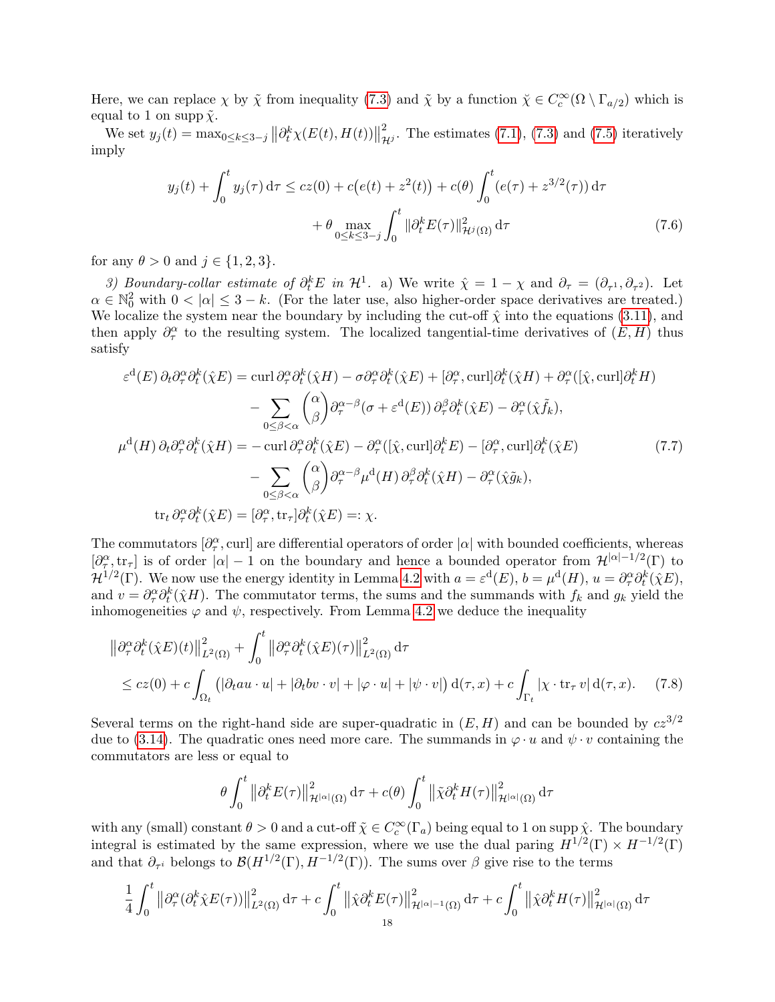Here, we can replace  $\chi$  by  $\tilde{\chi}$  from inequality [\(7.3\)](#page-16-1) and  $\tilde{\chi}$  by a function  $\tilde{\chi} \in C_c^{\infty}(\Omega \setminus \Gamma_{a/2})$  which is equal to 1 on supp  $\tilde{\chi}$ .

We set  $y_j(t) = \max_{0 \le k \le 3-j} ||\partial_t^k \chi(E(t), H(t))||$ 2  $H_{\mathcal{H}j}$ . The estimates [\(7.1\)](#page-15-1), [\(7.3\)](#page-16-1) and [\(7.5\)](#page-16-2) iteratively imply

<span id="page-17-1"></span>
$$
y_j(t) + \int_0^t y_j(\tau) d\tau \le cz(0) + c(e(t) + z^2(t)) + c(\theta) \int_0^t (e(\tau) + z^{3/2}(\tau)) d\tau + \theta \max_{0 \le k \le 3-j} \int_0^t ||\partial_t^k E(\tau)||_{\mathcal{H}^j(\Omega)}^2 d\tau
$$
 (7.6)

for any  $\theta > 0$  and  $j \in \{1, 2, 3\}.$ 

3) Boundary-collar estimate of  $\partial_t^k E$  in  $\mathcal{H}^1$ . a) We write  $\hat{\chi} = 1 - \chi$  and  $\partial_{\tau} = (\partial_{\tau^1}, \partial_{\tau^2})$ . Let  $\alpha \in \mathbb{N}_0^2$  with  $0 < |\alpha| \leq 3 - k$ . (For the later use, also higher-order space derivatives are treated.) We localize the system near the boundary by including the cut-off  $\hat{\chi}$  into the equations [\(3.11\)](#page-5-3), and then apply  $\partial_{\tau}^{\alpha}$  to the resulting system. The localized tangential-time derivatives of  $(E, H)$  thus satisfy

<span id="page-17-0"></span>
$$
\varepsilon^{d}(E) \partial_{t} \partial_{\tau}^{\alpha} \partial_{t}^{k}(\hat{\chi}E) = \operatorname{curl} \partial_{\tau}^{\alpha} \partial_{t}^{k}(\hat{\chi}H) - \sigma \partial_{\tau}^{\alpha} \partial_{t}^{k}(\hat{\chi}E) + [\partial_{\tau}^{\alpha}, \operatorname{curl}] \partial_{t}^{k}(\hat{\chi}H) + \partial_{\tau}^{\alpha}([\hat{\chi}, \operatorname{curl}] \partial_{t}^{k}H) - \sum_{0 \leq \beta < \alpha} {\binom{\alpha}{\beta}} \partial_{\tau}^{\alpha-\beta}(\sigma + \varepsilon^{d}(E)) \partial_{\tau}^{\beta} \partial_{t}^{k}(\hat{\chi}E) - \partial_{\tau}^{\alpha}(\hat{\chi}\tilde{f}_{k}), \n\mu^{d}(H) \partial_{t} \partial_{\tau}^{\alpha} \partial_{t}^{k}(\hat{\chi}H) = - \operatorname{curl} \partial_{\tau}^{\alpha} \partial_{t}^{k}(\hat{\chi}E) - \partial_{\tau}^{\alpha}([\hat{\chi}, \operatorname{curl}] \partial_{t}^{k}E) - [\partial_{\tau}^{\alpha}, \operatorname{curl}] \partial_{t}^{k}(\hat{\chi}E) - \sum_{0 \leq \beta < \alpha} {\binom{\alpha}{\beta}} \partial_{\tau}^{\alpha-\beta} \mu^{d}(H) \partial_{\tau}^{\beta} \partial_{t}^{k}(\hat{\chi}H) - \partial_{\tau}^{\alpha}(\hat{\chi}\tilde{g}_{k}), \n\operatorname{tr}_{t} \partial_{\tau}^{\alpha} \partial_{t}^{k}(\hat{\chi}E) = [\partial_{\tau}^{\alpha}, \operatorname{tr}_{\tau}] \partial_{t}^{k}(\hat{\chi}E) =: \chi.
$$
\n(7.7)

The commutators  $[\partial_{\tau}^{\alpha}, \text{curl}]$  are differential operators of order  $|\alpha|$  with bounded coefficients, whereas  $[\partial_{\tau}^{\alpha}, \text{tr}_{\tau}]$  is of order  $|\alpha|-1$  on the boundary and hence a bounded operator from  $\mathcal{H}^{|\alpha|-1/2}(\Gamma)$  to  $\mathcal{H}^{1/2}(\Gamma)$ . We now use the energy identity in Lemma [4.2](#page-7-0) with  $a = \varepsilon^{d}(E)$ ,  $b = \mu^{d}(H)$ ,  $u = \partial_{\tau}^{\alpha} \partial_{t}^{k}(\hat{\chi}E)$ , and  $v = \partial_{\tau}^{\alpha} \partial_{t}^{k} (\hat{\chi} H)$ . The commutator terms, the sums and the summands with  $f_{k}$  and  $g_{k}$  yield the inhomogeneities  $\varphi$  and  $\psi$ , respectively. From Lemma [4.2](#page-7-0) we deduce the inequality

$$
\|\partial_{\tau}^{\alpha}\partial_{t}^{k}(\hat{\chi}E)(t)\|_{L^{2}(\Omega)}^{2} + \int_{0}^{t} \|\partial_{\tau}^{\alpha}\partial_{t}^{k}(\hat{\chi}E)(\tau)\|_{L^{2}(\Omega)}^{2} d\tau
$$
  

$$
\leq cz(0) + c \int_{\Omega_{t}} (|\partial_{t}au \cdot u| + |\partial_{t}bv \cdot v| + |\varphi \cdot u| + |\psi \cdot v|) d(\tau, x) + c \int_{\Gamma_{t}} |\chi \cdot \mathrm{tr}_{\tau} v| d(\tau, x).
$$
 (7.8)

Several terms on the right-hand side are super-quadratic in  $(E, H)$  and can be bounded by  $cz^{3/2}$ due to [\(3.14\)](#page-6-2). The quadratic ones need more care. The summands in  $\varphi \cdot u$  and  $\psi \cdot v$  containing the commutators are less or equal to

$$
\theta \int_0^t \left\| \partial_t^k E(\tau) \right\|_{\mathcal{H}^{|\alpha|}(\Omega)}^2 \mathrm{d}\tau + c(\theta) \int_0^t \left\| \tilde{\chi} \partial_t^k H(\tau) \right\|_{\mathcal{H}^{|\alpha|}(\Omega)}^2 \mathrm{d}\tau
$$

with any (small) constant  $\theta > 0$  and a cut-off  $\tilde{\chi} \in C_c^{\infty}(\Gamma_a)$  being equal to 1 on supp  $\hat{\chi}$ . The boundary integral is estimated by the same expression, where we use the dual paring  $H^{1/2}(\Gamma) \times H^{-1/2}(\Gamma)$ and that  $\partial_{\tau^i}$  belongs to  $\mathcal{B}(H^{1/2}(\Gamma), H^{-1/2}(\Gamma)).$  The sums over  $\beta$  give rise to the terms

$$
\frac{1}{4}\int_0^t \left\|\partial_\tau^\alpha (\partial_t^k \hat \chi E(\tau))\right\|_{L^2(\Omega)}^2 \mathrm{d} \tau + c \int_0^t \left\|\hat \chi \partial_t^k E(\tau)\right\|_{\mathcal{H}^{|\alpha|-1}(\Omega)}^2 \mathrm{d} \tau + c \int_0^t \left\|\hat \chi \partial_t^k H(\tau)\right\|_{\mathcal{H}^{|\alpha|}(\Omega)}^2 \mathrm{d} \tau
$$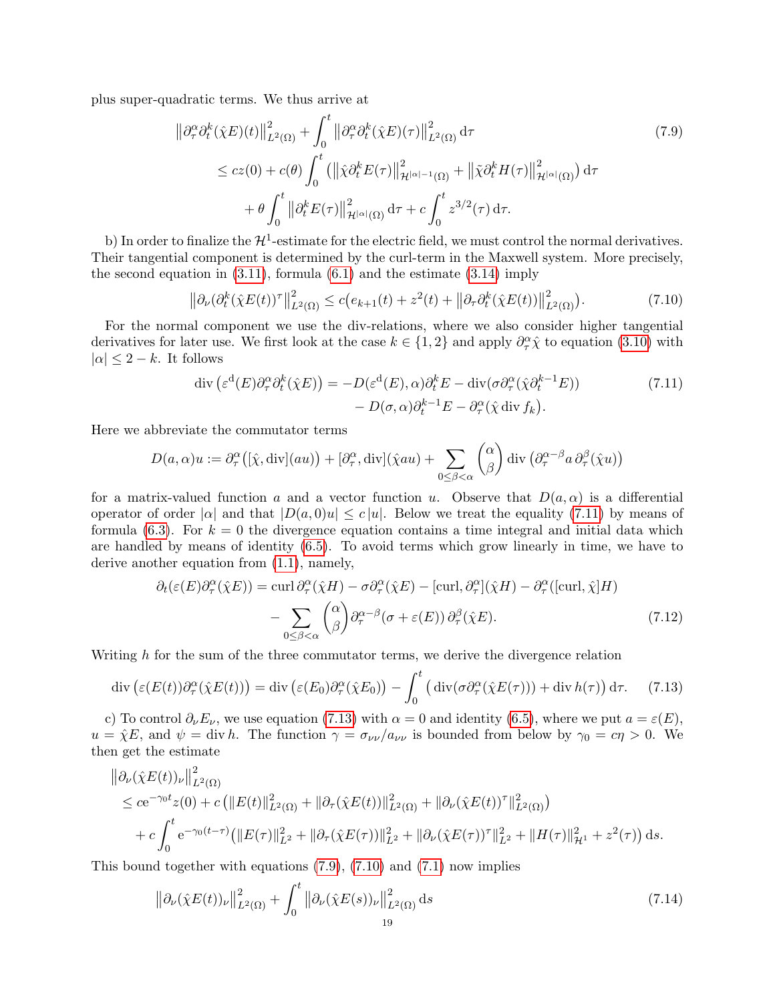plus super-quadratic terms. We thus arrive at

<span id="page-18-2"></span>
$$
\|\partial_{\tau}^{\alpha}\partial_{t}^{k}(\hat{\chi}E)(t)\|_{L^{2}(\Omega)}^{2} + \int_{0}^{t} \|\partial_{\tau}^{\alpha}\partial_{t}^{k}(\hat{\chi}E)(\tau)\|_{L^{2}(\Omega)}^{2} d\tau
$$
\n
$$
\leq cz(0) + c(\theta) \int_{0}^{t} (\|\hat{\chi}\partial_{t}^{k}E(\tau)\|_{\mathcal{H}^{|\alpha|-1}(\Omega)}^{2} + \|\tilde{\chi}\partial_{t}^{k}H(\tau)\|_{\mathcal{H}^{|\alpha|}(\Omega)}^{2}) d\tau
$$
\n
$$
+ \theta \int_{0}^{t} \|\partial_{t}^{k}E(\tau)\|_{\mathcal{H}^{|\alpha|}(\Omega)}^{2} d\tau + c \int_{0}^{t} z^{3/2}(\tau) d\tau.
$$
\n(7.9)

b) In order to finalize the  $\mathcal{H}^1$ -estimate for the electric field, we must control the normal derivatives. Their tangential component is determined by the curl-term in the Maxwell system. More precisely, the second equation in  $(3.11)$ , formula  $(6.1)$  and the estimate  $(3.14)$  imply

<span id="page-18-3"></span>
$$
\left\|\partial_{\nu}(\partial_{t}^{k}(\hat{\chi}E(t))\tau)\right\|_{L^{2}(\Omega)}^{2} \le c\big(e_{k+1}(t)+z^{2}(t)+\left\|\partial_{\tau}\partial_{t}^{k}(\hat{\chi}E(t))\right\|_{L^{2}(\Omega)}^{2}\big).
$$
 (7.10)

For the normal component we use the div-relations, where we also consider higher tangential derivatives for later use. We first look at the case  $k \in \{1,2\}$  and apply  $\partial_{\tau}^{\alpha} \hat{\chi}$  to equation [\(3.10\)](#page-5-1) with  $|\alpha| \leq 2 - k$ . It follows

<span id="page-18-0"></span>
$$
\operatorname{div}\left(\varepsilon^{d}(E)\partial_{\tau}^{\alpha}\partial_{t}^{k}(\hat{\chi}E)\right) = -D(\varepsilon^{d}(E), \alpha)\partial_{t}^{k}E - \operatorname{div}(\sigma\partial_{\tau}^{\alpha}(\hat{\chi}\partial_{t}^{k-1}E))
$$
\n
$$
-D(\sigma, \alpha)\partial_{t}^{k-1}E - \partial_{\tau}^{\alpha}(\hat{\chi}\operatorname{div}f_{k}).
$$
\n(7.11)

Here we abbreviate the commutator terms

$$
D(a,\alpha)u := \partial_{\tau}^{\alpha}([\hat{\chi},\text{div}](au)) + [\partial_{\tau}^{\alpha},\text{div}](\hat{\chi}au) + \sum_{0 \leq \beta < \alpha} \binom{\alpha}{\beta} \text{div} (\partial_{\tau}^{\alpha-\beta}a \partial_{\tau}^{\beta}(\hat{\chi}u))
$$

for a matrix-valued function a and a vector function u. Observe that  $D(a, \alpha)$  is a differential operator of order  $|\alpha|$  and that  $|D(a, 0)u| \leq c |u|$ . Below we treat the equality [\(7.11\)](#page-18-0) by means of formula [\(6.3\)](#page-13-0). For  $k = 0$  the divergence equation contains a time integral and initial data which are handled by means of identity [\(6.5\)](#page-14-2). To avoid terms which grow linearly in time, we have to derive another equation from [\(1.1\)](#page-0-0), namely,

<span id="page-18-1"></span>
$$
\partial_t(\varepsilon(E)\partial_\tau^{\alpha}(\hat{\chi}E)) = \operatorname{curl}\partial_\tau^{\alpha}(\hat{\chi}H) - \sigma \partial_\tau^{\alpha}(\hat{\chi}E) - [\operatorname{curl}, \partial_\tau^{\alpha}](\hat{\chi}H) - \partial_\tau^{\alpha}([\operatorname{curl}, \hat{\chi}]H) - \sum_{0 \le \beta < \alpha} {\alpha \choose \beta} \partial_\tau^{\alpha-\beta}(\sigma + \varepsilon(E)) \partial_\tau^{\beta}(\hat{\chi}E).
$$
\n(7.12)

Writing  $h$  for the sum of the three commutator terms, we derive the divergence relation

$$
\operatorname{div}\left(\varepsilon(E(t))\partial_{\tau}^{\alpha}(\hat{\chi}E(t))\right) = \operatorname{div}\left(\varepsilon(E_0)\partial_{\tau}^{\alpha}(\hat{\chi}E_0)\right) - \int_0^t \left(\operatorname{div}(\sigma \partial_{\tau}^{\alpha}(\hat{\chi}E(\tau))) + \operatorname{div}h(\tau)\right) d\tau. \tag{7.13}
$$

c) To control  $\partial_{\nu}E_{\nu}$ , we use equation [\(7.13\)](#page-18-1) with  $\alpha = 0$  and identity [\(6.5\)](#page-14-2), where we put  $a = \varepsilon(E)$ ,  $u = \hat{\chi}E$ , and  $\psi = \text{div } h$ . The function  $\gamma = \sigma_{\nu\nu}/a_{\nu\nu}$  is bounded from below by  $\gamma_0 = c\eta > 0$ . We then get the estimate

$$
\|\partial_{\nu}(\hat{\chi}E(t))_{\nu}\|_{L^{2}(\Omega)}^{2} \n\leq c e^{-\gamma_{0}t}z(0) + c \left(\|E(t)\|_{L^{2}(\Omega)}^{2} + \|\partial_{\tau}(\hat{\chi}E(t))\|_{L^{2}(\Omega)}^{2} + \|\partial_{\nu}(\hat{\chi}E(t))^{\tau}\|_{L^{2}(\Omega)}^{2}\right) \n+ c \int_{0}^{t} e^{-\gamma_{0}(t-\tau)} (\|E(\tau)\|_{L^{2}}^{2} + \|\partial_{\tau}(\hat{\chi}E(\tau))\|_{L^{2}}^{2} + \|\partial_{\nu}(\hat{\chi}E(\tau))^{\tau}\|_{L^{2}}^{2} + \|H(\tau)\|_{\mathcal{H}^{1}}^{2} + z^{2}(\tau)\right) ds.
$$

This bound together with equations [\(7.9\)](#page-18-2), [\(7.10\)](#page-18-3) and [\(7.1\)](#page-15-1) now implies

<span id="page-18-4"></span>
$$
\left\| \partial_{\nu} (\hat{\chi} E(t))_{\nu} \right\|_{L^{2}(\Omega)}^{2} + \int_{0}^{t} \left\| \partial_{\nu} (\hat{\chi} E(s))_{\nu} \right\|_{L^{2}(\Omega)}^{2} ds
$$
\n(7.14)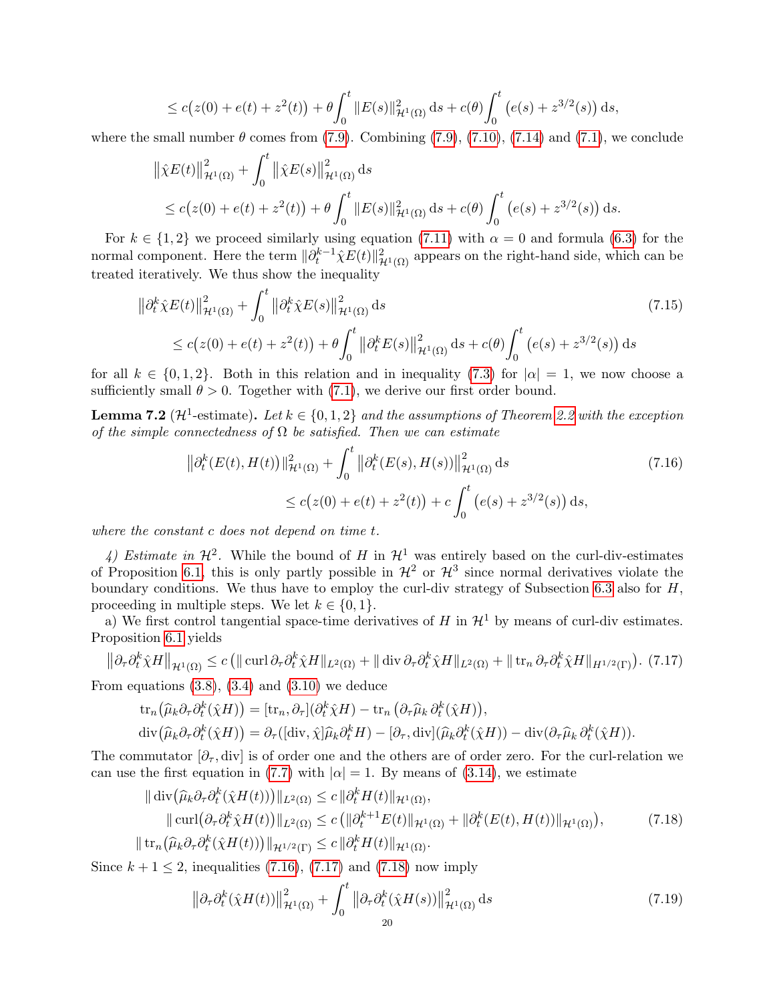$$
\leq c(z(0) + e(t) + z^{2}(t)) + \theta \int_{0}^{t} \|E(s)\|_{\mathcal{H}^{1}(\Omega)}^{2} ds + c(\theta) \int_{0}^{t} (e(s) + z^{3/2}(s)) ds,
$$

where the small number  $\theta$  comes from [\(7.9\)](#page-18-2). Combining (7.9), [\(7.10\)](#page-18-3), [\(7.14\)](#page-18-4) and [\(7.1\)](#page-15-1), we conclude

$$
\|\hat{\chi}E(t)\|_{\mathcal{H}^{1}(\Omega)}^{2} + \int_{0}^{t} \|\hat{\chi}E(s)\|_{\mathcal{H}^{1}(\Omega)}^{2} ds
$$
  
\$\leq c(z(0) + e(t) + z^{2}(t)) + \theta \int\_{0}^{t} \|E(s)\|\_{\mathcal{H}^{1}(\Omega)}^{2} ds + c(\theta) \int\_{0}^{t} (e(s) + z^{3/2}(s)) ds.\$

For  $k \in \{1,2\}$  we proceed similarly using equation [\(7.11\)](#page-18-0) with  $\alpha = 0$  and formula [\(6.3\)](#page-13-0) for the normal component. Here the term  $\|\partial_t^{k-1}\hat{\chi}E(t)\|_{\mathcal{H}^1(\Omega)}^2$  appears on the right-hand side, which can be treated iteratively. We thus show the inequality

$$
\|\partial_t^k \hat{\chi} E(t)\|_{\mathcal{H}^1(\Omega)}^2 + \int_0^t \|\partial_t^k \hat{\chi} E(s)\|_{\mathcal{H}^1(\Omega)}^2 ds \tag{7.15}
$$
  

$$
\leq c(z(0) + e(t) + z^2(t)) + \theta \int_0^t \|\partial_t^k E(s)\|_{\mathcal{H}^1(\Omega)}^2 ds + c(\theta) \int_0^t (e(s) + z^{3/2}(s)) ds
$$

for all  $k \in \{0, 1, 2\}$ . Both in this relation and in inequality [\(7.3\)](#page-16-1) for  $|\alpha| = 1$ , we now choose a sufficiently small  $\theta > 0$ . Together with [\(7.1\)](#page-15-1), we derive our first order bound.

<span id="page-19-4"></span>**Lemma 7.2** ( $\mathcal{H}^1$ -estimate). Let  $k \in \{0,1,2\}$  and the assumptions of Theorem [2.2](#page-3-0) with the exception of the simple connectedness of  $\Omega$  be satisfied. Then we can estimate

<span id="page-19-0"></span>
$$
\|\partial_t^k(E(t), H(t))\|_{\mathcal{H}^1(\Omega)}^2 + \int_0^t \|\partial_t^k(E(s), H(s))\|_{\mathcal{H}^1(\Omega)}^2 ds
$$
\n
$$
\leq c(z(0) + e(t) + z^2(t)) + c \int_0^t (e(s) + z^{3/2}(s)) ds,
$$
\n(7.16)

where the constant c does not depend on time t.

4) Estimate in  $\mathcal{H}^2$ . While the bound of H in  $\mathcal{H}^1$  was entirely based on the curl-div-estimates of Proposition [6.1,](#page-12-1) this is only partly possible in  $\mathcal{H}^2$  or  $\mathcal{H}^3$  since normal derivatives violate the boundary conditions. We thus have to employ the curl-div strategy of Subsection [6.3](#page-13-2) also for  $H$ , proceeding in multiple steps. We let  $k \in \{0, 1\}$ .

a) We first control tangential space-time derivatives of H in  $\mathcal{H}^1$  by means of curl-div estimates. Proposition [6.1](#page-12-1) yields

<span id="page-19-1"></span>
$$
\left\|\partial_{\tau}\partial_{t}^{k}\hat{\chi}H\right\|_{\mathcal{H}^{1}(\Omega)} \leq c\left(\|\operatorname{curl}\partial_{\tau}\partial_{t}^{k}\hat{\chi}H\|_{L^{2}(\Omega)}+\|\operatorname{div}\partial_{\tau}\partial_{t}^{k}\hat{\chi}H\|_{L^{2}(\Omega)}+\|\operatorname{tr}_{n}\partial_{\tau}\partial_{t}^{k}\hat{\chi}H\|_{H^{1/2}(\Gamma)}\right). (7.17)
$$

From equations  $(3.8)$ ,  $(3.4)$  and  $(3.10)$  we deduce

$$
\operatorname{tr}_n(\widehat{\mu}_k \partial_\tau \partial_t^k (\widehat{\chi} H)) = [\operatorname{tr}_n, \partial_\tau] (\partial_t^k \widehat{\chi} H) - \operatorname{tr}_n (\partial_\tau \widehat{\mu}_k \partial_t^k (\widehat{\chi} H)),
$$
  
\n
$$
\operatorname{div}(\widehat{\mu}_k \partial_\tau \partial_t^k (\widehat{\chi} H)) = \partial_\tau ([\operatorname{div}, \widehat{\chi}] \widehat{\mu}_k \partial_t^k H) - [\partial_\tau, \operatorname{div}](\widehat{\mu}_k \partial_t^k (\widehat{\chi} H)) - \operatorname{div}(\partial_\tau \widehat{\mu}_k \partial_t^k (\widehat{\chi} H)).
$$

The commutator  $[\partial_\tau, \text{div}]$  is of order one and the others are of order zero. For the curl-relation we can use the first equation in [\(7.7\)](#page-17-0) with  $|\alpha|=1$ . By means of [\(3.14\)](#page-6-2), we estimate

$$
\|\operatorname{div}(\widehat{\mu}_k \partial_\tau \partial_t^k (\widehat{\chi} H(t)))\|_{L^2(\Omega)} \le c \|\partial_t^k H(t)\|_{\mathcal{H}^1(\Omega)},
$$
  

$$
\|\operatorname{curl}(\partial_\tau \partial_t^k \widehat{\chi} H(t))\|_{L^2(\Omega)} \le c \left(\|\partial_t^{k+1} E(t)\|_{\mathcal{H}^1(\Omega)} + \|\partial_t^k (E(t), H(t))\|_{\mathcal{H}^1(\Omega)}\right),
$$
  

$$
\|\operatorname{tr}_n(\widehat{\mu}_k \partial_\tau \partial_t^k (\widehat{\chi} H(t)))\|_{\mathcal{H}^{1/2}(\Gamma)} \le c \|\partial_t^k H(t)\|_{\mathcal{H}^1(\Omega)}.
$$
 (7.18)

Since  $k + 1 \leq 2$ , inequalities [\(7.16\)](#page-19-0), [\(7.17\)](#page-19-1) and [\(7.18\)](#page-19-2) now imply

<span id="page-19-3"></span><span id="page-19-2"></span>
$$
\left\|\partial_{\tau}\partial_t^k(\hat{\chi}H(t))\right\|_{\mathcal{H}^1(\Omega)}^2 + \int_0^t \left\|\partial_{\tau}\partial_t^k(\hat{\chi}H(s))\right\|_{\mathcal{H}^1(\Omega)}^2 ds\tag{7.19}
$$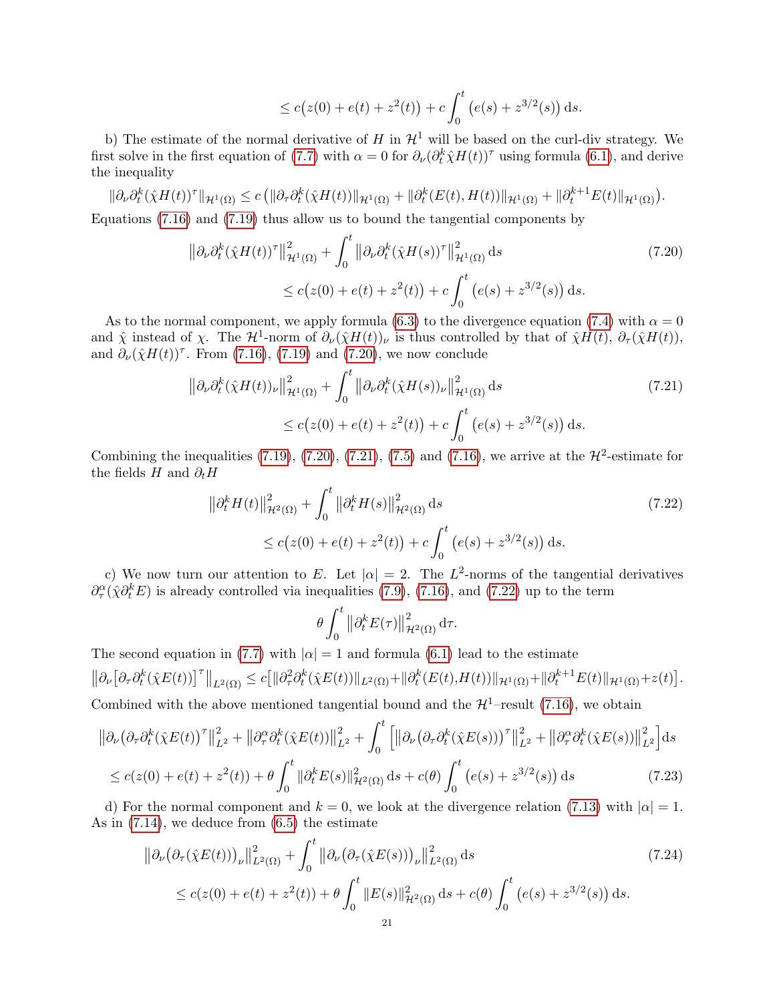<span id="page-20-0"></span>
$$
\leq c(z(0) + e(t) + z^2(t)) + c \int_0^t (e(s) + z^{3/2}(s)) ds.
$$

b) The estimate of the normal derivative of H in  $\mathcal{H}^1$  will be based on the curl-div strategy. We first solve in the first equation of [\(7.7\)](#page-17-0) with  $\alpha = 0$  for  $\partial_{\nu} (\partial_t^k \hat{\chi} H(t))^{\tau}$  using formula [\(6.1\)](#page-13-1), and derive the inequality

$$
\|\partial_{\nu}\partial_t^k(\hat{\chi}H(t))^{\tau}\|_{\mathcal{H}^1(\Omega)} \leq c \left( \|\partial_{\tau}\partial_t^k(\hat{\chi}H(t))\|_{\mathcal{H}^1(\Omega)} + \|\partial_t^k(E(t),H(t))\|_{\mathcal{H}^1(\Omega)} + \|\partial_t^{k+1}E(t)\|_{\mathcal{H}^1(\Omega)} \right).
$$

Equations [\(7.16\)](#page-19-0) and [\(7.19\)](#page-19-3) thus allow us to bound the tangential components by

$$
\|\partial_{\nu}\partial_{t}^{k}(\hat{\chi}H(t))^{\tau}\|_{\mathcal{H}^{1}(\Omega)}^{2} + \int_{0}^{t} \|\partial_{\nu}\partial_{t}^{k}(\hat{\chi}H(s))^{\tau}\|_{\mathcal{H}^{1}(\Omega)}^{2} ds
$$
\n
$$
\leq c(z(0) + e(t) + z^{2}(t)) + c \int_{0}^{t} (e(s) + z^{3/2}(s)) ds.
$$
\n(7.20)

As to the normal component, we apply formula [\(6.3\)](#page-13-0) to the divergence equation [\(7.4\)](#page-16-3) with  $\alpha = 0$ and  $\hat{\chi}$  instead of  $\chi$ . The  $\mathcal{H}^1$ -norm of  $\partial_{\nu}(\hat{\chi}H(t))_{\nu}$  is thus controlled by that of  $\hat{\chi}H(t)$ ,  $\partial_{\tau}(\hat{\chi}H(t))$ , and  $\partial_{\nu}(\hat{\chi}H(t))$ <sup>T</sup>. From [\(7.16\)](#page-19-0), [\(7.19\)](#page-19-3) and [\(7.20\)](#page-20-0), we now conclude

$$
\|\partial_{\nu}\partial_{t}^{k}(\hat{\chi}H(t))_{\nu}\|_{\mathcal{H}^{1}(\Omega)}^{2} + \int_{0}^{t} \|\partial_{\nu}\partial_{t}^{k}(\hat{\chi}H(s))_{\nu}\|_{\mathcal{H}^{1}(\Omega)}^{2} ds
$$
\n
$$
\leq c(z(0) + e(t) + z^{2}(t)) + c \int_{0}^{t} (e(s) + z^{3/2}(s)) ds.
$$
\n(7.21)

Combining the inequalities  $(7.19)$ ,  $(7.20)$ ,  $(7.21)$ ,  $(7.5)$  and  $(7.16)$ , we arrive at the  $\mathcal{H}^2$ -estimate for the fields H and  $\partial_t H$ 

$$
\|\partial_t^k H(t)\|_{\mathcal{H}^2(\Omega)}^2 + \int_0^t \|\partial_t^k H(s)\|_{\mathcal{H}^2(\Omega)}^2 ds
$$
\n
$$
\leq c(z(0) + e(t) + z^2(t)) + c \int_0^t (e(s) + z^{3/2}(s)) ds.
$$
\n(7.22)

c) We now turn our attention to E. Let  $|\alpha| = 2$ . The  $L^2$ -norms of the tangential derivatives  $\partial_{\tau}^{\alpha}(\hat{\chi}\partial_{t}^{k}E)$  is already controlled via inequalities [\(7.9\)](#page-18-2), [\(7.16\)](#page-19-0), and [\(7.22\)](#page-20-2) up to the term

<span id="page-20-4"></span><span id="page-20-3"></span><span id="page-20-2"></span><span id="page-20-1"></span>
$$
\theta \int_0^t \left\| \partial_t^k E(\tau) \right\|_{\mathcal{H}^2(\Omega)}^2 \, \mathrm{d} \tau.
$$

The second equation in [\(7.7\)](#page-17-0) with  $|\alpha|=1$  and formula [\(6.1\)](#page-13-1) lead to the estimate

$$
\left\|\partial_\nu\big[\partial_\tau\partial_t^k(\hat{\chi}E(t))\big]^\tau\right\|_{L^2(\Omega)}\leq c\big[\|\partial_\tau^2\partial_t^k(\hat{\chi}E(t))\|_{L^2(\Omega)}+\|\partial_t^k(E(t),H(t))\|_{\mathcal{H}^1(\Omega)}+\|\partial_t^{k+1}E(t)\|_{\mathcal{H}^1(\Omega)}+z(t)\big].
$$

Combined with the above mentioned tangential bound and the  $\mathcal{H}^1$ –result [\(7.16\)](#page-19-0), we obtain

$$
\|\partial_{\nu}(\partial_{\tau}\partial_{t}^{k}(\hat{\chi}E(t))\tau\|_{L^{2}}^{2} + \|\partial_{\tau}^{\alpha}\partial_{t}^{k}(\hat{\chi}E(t))\|_{L^{2}}^{2} + \int_{0}^{t} \left[\|\partial_{\nu}(\partial_{\tau}\partial_{t}^{k}(\hat{\chi}E(s)))\tau\|_{L^{2}}^{2} + \|\partial_{\tau}^{\alpha}\partial_{t}^{k}(\hat{\chi}E(s))\|_{L^{2}}^{2}\right]ds
$$
  
\n
$$
\leq c(z(0) + e(t) + z^{2}(t)) + \theta \int_{0}^{t} \|\partial_{t}^{k}E(s)\|_{\mathcal{H}^{2}(\Omega)}^{2} ds + c(\theta) \int_{0}^{t} (e(s) + z^{3/2}(s)) ds
$$
\n(7.23)

d) For the normal component and  $k = 0$ , we look at the divergence relation [\(7.13\)](#page-18-1) with  $|\alpha| = 1$ . As in [\(7.14\)](#page-18-4), we deduce from [\(6.5\)](#page-14-2) the estimate

$$
\|\partial_{\nu}(\partial_{\tau}(\hat{\chi}E(t)))_{\nu}\|_{L^{2}(\Omega)}^{2} + \int_{0}^{t} \|\partial_{\nu}(\partial_{\tau}(\hat{\chi}E(s)))_{\nu}\|_{L^{2}(\Omega)}^{2} ds
$$
\n
$$
\leq c(z(0) + e(t) + z^{2}(t)) + \theta \int_{0}^{t} \|E(s)\|_{\mathcal{H}^{2}(\Omega)}^{2} ds + c(\theta) \int_{0}^{t} (e(s) + z^{3/2}(s)) ds.
$$
\n(7.24)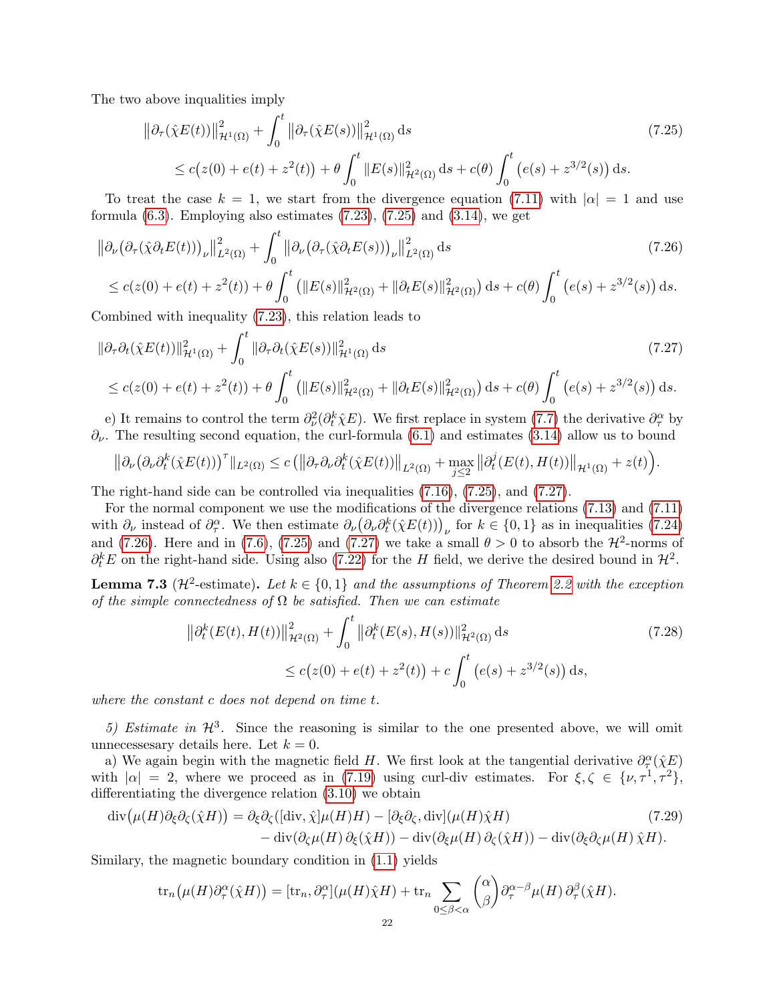The two above inqualities imply

<span id="page-21-2"></span><span id="page-21-0"></span>
$$
\|\partial_{\tau}(\hat{\chi}E(t))\|_{\mathcal{H}^{1}(\Omega)}^{2} + \int_{0}^{t} \|\partial_{\tau}(\hat{\chi}E(s))\|_{\mathcal{H}^{1}(\Omega)}^{2} ds
$$
\n
$$
\leq c(z(0) + e(t) + z^{2}(t)) + \theta \int_{0}^{t} \|E(s)\|_{\mathcal{H}^{2}(\Omega)}^{2} ds + c(\theta) \int_{0}^{t} (e(s) + z^{3/2}(s)) ds.
$$
\n(7.25)

To treat the case  $k = 1$ , we start from the divergence equation [\(7.11\)](#page-18-0) with  $|\alpha| = 1$  and use formula  $(6.3)$ . Employing also estimates  $(7.23)$ ,  $(7.25)$  and  $(3.14)$ , we get

$$
\left\|\partial_{\nu}\left(\partial_{\tau}(\hat{\chi}\partial_{t}E(t))\right)_{\nu}\right\|_{L^{2}(\Omega)}^{2} + \int_{0}^{t} \left\|\partial_{\nu}\left(\partial_{\tau}(\hat{\chi}\partial_{t}E(s))\right)_{\nu}\right\|_{L^{2}(\Omega)}^{2} ds
$$
\n
$$
\leq c(z(0) + e(t) + z^{2}(t)) + \theta \int_{0}^{t} \left(\|E(s)\|_{2}^{2} + \|\partial_{t}E(s)\|_{2}^{2} + \|\partial_{t}E(s)\|_{2}^{2} + \|\partial_{t}E(s)\|_{2}^{2} + \|\partial_{t}E(s)\|_{2}^{2} + \|\partial_{t}E(s)\|_{2}^{2} + \|\partial_{t}E(s)\|_{2}^{2} + \|\partial_{t}E(s)\|_{2}^{2} + \|\partial_{t}E(s)\|_{2}^{2} + \|\partial_{t}E(s)\|_{2}^{2} + \|\partial_{t}E(s)\|_{2}^{2} + \|\partial_{t}E(s)\|_{2}^{2} + \|\partial_{t}E(s)\|_{2}^{2} + \|\partial_{t}E(s)\|_{2}^{2} + \|\partial_{t}E(s)\|_{2}^{2} + \|\partial_{t}E(s)\|_{2}^{2} + \|\partial_{t}E(s)\|_{2}^{2} + \|\partial_{t}E(s)\|_{2}^{2} + \|\partial_{t}E(s)\|_{2}^{2} + \|\partial_{t}E(s)\|_{2}^{2} + \|\partial_{t}E(s)\|_{2}^{2} + \|\partial_{t}E(s)\|_{2}^{2} + \|\partial_{t}E(s)\|_{2}^{2} + \|\partial_{t}E(s)\|_{2}^{2} + \|\partial_{t}E(s)\|_{2}^{2} + \|\partial_{t}E(s)\|_{2}^{2} + \|\partial_{t}E(s)\|_{2}^{2} + \|\partial_{t}E(s)\|_{2}^{2} + \|\partial_{t}E(s)\|_{2}^{2} + \|\partial_{t}E(s)\|_{2}^{2} + \|\partial_{t}E(s)\|_{2}^{2} + \|\partial_{t}E(s)\|_{2}^{2} + \|\partial_{t}E(s)\|_{2}^{2} + \|\partial_{t}E(s)\|_{2}^{2} + \|\partial_{t}E(s)\|_{2}^{2} + \|\partial_{t}E(s)\|_{2}^{2} + \|\partial
$$

$$
\leq c(z(0) + e(t) + z^2(t)) + \theta \int_0^{\infty} \left( \|E(s)\|_{\mathcal{H}^2(\Omega)}^2 + \|\partial_t E(s)\|_{\mathcal{H}^2(\Omega)}^2 \right) ds + c(\theta) \int_0^{\infty} \left( e(s) + z^{3/2}(s) \right) ds.
$$

Combined with inequality [\(7.23\)](#page-20-3), this relation leads to

$$
\|\partial_{\tau}\partial_{t}(\hat{\chi}E(t))\|_{\mathcal{H}^{1}(\Omega)}^{2} + \int_{0}^{t} \|\partial_{\tau}\partial_{t}(\hat{\chi}E(s))\|_{\mathcal{H}^{1}(\Omega)}^{2} ds \qquad (7.27)
$$
  

$$
\leq c(z(0) + e(t) + z^{2}(t)) + \theta \int_{0}^{t} \left( \|E(s)\|_{\mathcal{H}^{2}(\Omega)}^{2} + \|\partial_{t}E(s)\|_{\mathcal{H}^{2}(\Omega)}^{2} \right) ds + c(\theta) \int_{0}^{t} \left( e(s) + z^{3/2}(s) \right) ds.
$$

e) It remains to control the term  $\partial_{\nu}^{2}(\partial_{t}^{k}\hat{\chi}E)$ . We first replace in system [\(7.7\)](#page-17-0) the derivative  $\partial_{\tau}^{\alpha}$  by  $\partial_{\nu}$ . The resulting second equation, the curl-formula [\(6.1\)](#page-13-1) and estimates [\(3.14\)](#page-6-2) allow us to bound

$$
\left\|\partial_{\nu}\left(\partial_{\nu}\partial_t^k(\hat{\chi}E(t))\right)^{\tau}\right\|_{L^2(\Omega)} \leq c \left(\left\|\partial_{\tau}\partial_{\nu}\partial_t^k(\hat{\chi}E(t))\right\|_{L^2(\Omega)} + \max_{j\leq 2} \left\|\partial_t^j(E(t),H(t))\right\|_{\mathcal{H}^1(\Omega)} + z(t)\right).
$$

The right-hand side can be controlled via inequalities [\(7.16\)](#page-19-0), [\(7.25\)](#page-21-0), and [\(7.27\)](#page-21-1).

For the normal component we use the modifications of the divergence relations  $(7.13)$  and  $(7.11)$ with  $\partial_{\nu}$  instead of  $\partial_{\tau}^{\alpha}$ . We then estimate  $\partial_{\nu}(\partial_{\nu}\partial_{t}^{k}(\hat{\chi}E(t)))_{\nu}$  for  $k \in \{0,1\}$  as in inequalities [\(7.24\)](#page-20-4) and [\(7.26\)](#page-21-2). Here and in [\(7.6\)](#page-17-1), [\(7.25\)](#page-21-0) and [\(7.27\)](#page-21-1) we take a small  $\theta > 0$  to absorb the  $\mathcal{H}^2$ -norms of  $\partial_t^k E$  on the right-hand side. Using also [\(7.22\)](#page-20-2) for the H field, we derive the desired bound in  $\mathcal{H}^2$ .

<span id="page-21-4"></span>**Lemma 7.3** ( $\mathcal{H}^2$ -estimate). Let  $k \in \{0,1\}$  and the assumptions of Theorem [2.2](#page-3-0) with the exception of the simple connectedness of  $\Omega$  be satisfied. Then we can estimate

<span id="page-21-3"></span><span id="page-21-1"></span>
$$
\|\partial_t^k(E(t), H(t))\|_{\mathcal{H}^2(\Omega)}^2 + \int_0^t \|\partial_t^k(E(s), H(s))\|_{\mathcal{H}^2(\Omega)}^2 ds \tag{7.28}
$$
  

$$
\leq c(z(0) + e(t) + z^2(t)) + c \int_0^t (e(s) + z^{3/2}(s)) ds,
$$

where the constant c does not depend on time t.

5) Estimate in  $\mathcal{H}^3$ . Since the reasoning is similar to the one presented above, we will omit unnecessesary details here. Let  $k = 0$ .

a) We again begin with the magnetic field H. We first look at the tangential derivative  $\partial_{\tau}^{\alpha}(\hat{\chi}E)$ with  $|\alpha| = 2$ , where we proceed as in [\(7.19\)](#page-19-3) using curl-div estimates. For  $\xi, \zeta \in \{\nu, \tau^1, \tau^2\}$ , differentiating the divergence relation [\(3.10\)](#page-5-1) we obtain

$$
\operatorname{div}(\mu(H)\partial_{\xi}\partial_{\zeta}(\hat{\chi}H)) = \partial_{\xi}\partial_{\zeta}([\operatorname{div},\hat{\chi}]\mu(H)H) - [\partial_{\xi}\partial_{\zeta},\operatorname{div}](\mu(H)\hat{\chi}H) \tag{7.29}
$$
  
 
$$
-\operatorname{div}(\partial_{\zeta}\mu(H)\partial_{\xi}(\hat{\chi}H)) - \operatorname{div}(\partial_{\xi}\mu(H)\partial_{\zeta}(\hat{\chi}H)) - \operatorname{div}(\partial_{\xi}\partial_{\zeta}\mu(H)\hat{\chi}H).
$$

Similary, the magnetic boundary condition in [\(1.1\)](#page-0-0) yields

$$
\text{tr}_n\big(\mu(H)\partial_\tau^{\alpha}(\hat{\chi}H)\big) = [\text{tr}_n, \partial_\tau^{\alpha}](\mu(H)\hat{\chi}H) + \text{tr}_n \sum_{0 \leq \beta < \alpha} \binom{\alpha}{\beta} \partial_\tau^{\alpha-\beta} \mu(H) \partial_\tau^{\beta}(\hat{\chi}H).
$$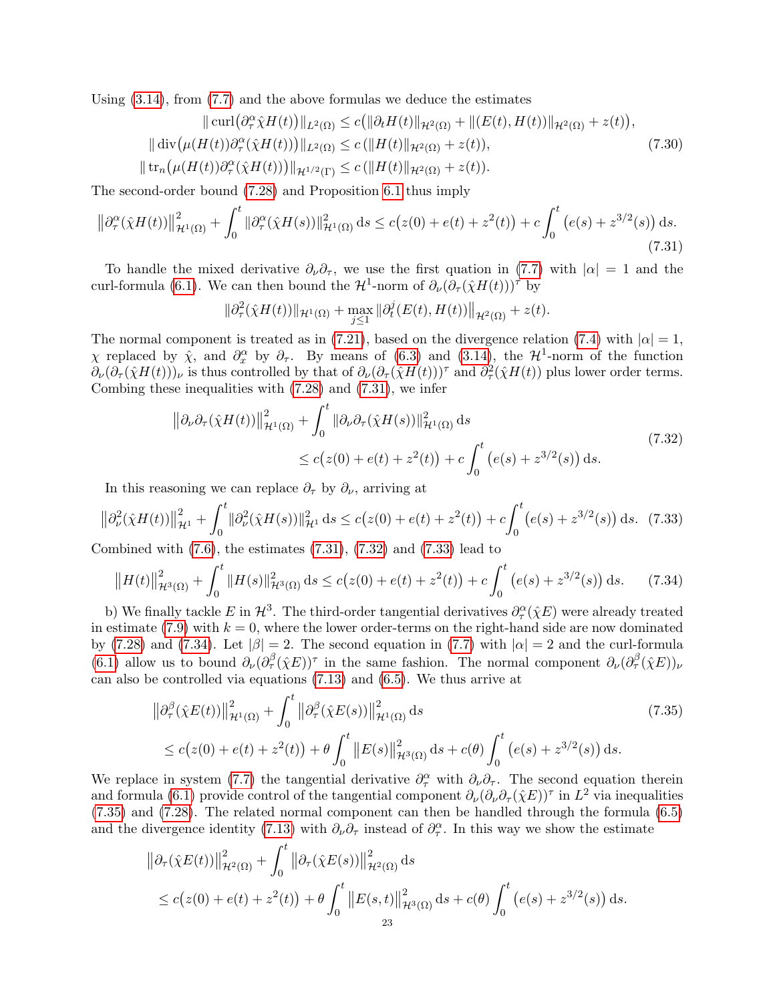Using  $(3.14)$ , from  $(7.7)$  and the above formulas we deduce the estimates

$$
\|\operatorname{curl}\left(\partial_{\tau}^{\alpha}\hat{\chi}H(t)\right)\|_{L^{2}(\Omega)} \le c\big(\|\partial_{t}H(t)\|_{\mathcal{H}^{2}(\Omega)} + \|(E(t),H(t))\|_{\mathcal{H}^{2}(\Omega)} + z(t)\big),
$$
  

$$
\|\operatorname{div}\left(\mu(H(t))\partial_{\tau}^{\alpha}(\hat{\chi}H(t))\right)\|_{L^{2}(\Omega)} \le c\left(\|H(t)\|_{\mathcal{H}^{2}(\Omega)} + z(t)\right),
$$
  

$$
\|\operatorname{tr}_{n}\left(\mu(H(t))\partial_{\tau}^{\alpha}(\hat{\chi}H(t))\right)\|_{\mathcal{H}^{1/2}(\Gamma)} \le c\left(\|H(t)\|_{\mathcal{H}^{2}(\Omega)} + z(t)\right).
$$
 (7.30)

The second-order bound [\(7.28\)](#page-21-3) and Proposition [6.1](#page-12-1) thus imply

$$
\left\|\partial_{\tau}^{\alpha}(\hat{\chi}H(t))\right\|_{\mathcal{H}^{1}(\Omega)}^{2} + \int_{0}^{t} \left\|\partial_{\tau}^{\alpha}(\hat{\chi}H(s))\right\|_{\mathcal{H}^{1}(\Omega)}^{2} ds \le c\big(z(0) + e(t) + z^{2}(t)\big) + c \int_{0}^{t} \big(e(s) + z^{3/2}(s)\big) ds.
$$
\n(7.31)

To handle the mixed derivative  $\partial_{\nu}\partial_{\tau}$ , we use the first quation in [\(7.7\)](#page-17-0) with  $|\alpha|=1$  and the curl-formula [\(6.1\)](#page-13-1). We can then bound the  $\mathcal{H}^1$ -norm of  $\partial_{\nu}(\partial_{\tau}(\hat{\chi}H(t)))^{\tau}$  by

<span id="page-22-3"></span><span id="page-22-2"></span><span id="page-22-1"></span><span id="page-22-0"></span>
$$
\|\partial^2_\tau (\hat{\chi}H(t))\|_{\mathcal{H}^1(\Omega)}+\max_{j\leq 1}\|\partial^j_t(E(t),H(t))\big\|_{\mathcal{H}^2(\Omega)}+z(t).
$$

The normal component is treated as in [\(7.21\)](#page-20-1), based on the divergence relation [\(7.4\)](#page-16-3) with  $|\alpha|=1$ , χ replaced by  $\hat{\chi}$ , and  $\partial_x^{\alpha}$  by  $\partial_{\tau}$ . By means of [\(6.3\)](#page-13-0) and [\(3.14\)](#page-6-2), the H<sup>1</sup>-norm of the function  $\partial_{\nu}(\partial_{\tau}(\hat{\chi}H(t)))_{\nu}$  is thus controlled by that of  $\partial_{\nu}(\partial_{\tau}(\hat{\chi}H(t)))^{\tau}$  and  $\partial_{\tau}^{2}(\hat{\chi}H(t))$  plus lower order terms. Combing these inequalities with [\(7.28\)](#page-21-3) and [\(7.31\)](#page-22-0), we infer

$$
\|\partial_{\nu}\partial_{\tau}(\hat{\chi}H(t))\|_{\mathcal{H}^{1}(\Omega)}^{2} + \int_{0}^{t} \|\partial_{\nu}\partial_{\tau}(\hat{\chi}H(s))\|_{\mathcal{H}^{1}(\Omega)}^{2} ds
$$
  
 
$$
\leq c(z(0) + e(t) + z^{2}(t)) + c \int_{0}^{t} (e(s) + z^{3/2}(s)) ds.
$$
 (7.32)

In this reasoning we can replace  $\partial_{\tau}$  by  $\partial_{\nu}$ , arriving at

$$
\|\partial_{\nu}^{2}(\hat{\chi}H(t))\|_{\mathcal{H}^{1}}^{2} + \int_{0}^{t} \|\partial_{\nu}^{2}(\hat{\chi}H(s))\|_{\mathcal{H}^{1}}^{2} ds \le c(z(0) + e(t) + z^{2}(t)) + c \int_{0}^{t} (e(s) + z^{3/2}(s)) ds. \tag{7.33}
$$

Combined with  $(7.6)$ , the estimates  $(7.31)$ ,  $(7.32)$  and  $(7.33)$  lead to

$$
\|H(t)\|_{\mathcal{H}^{3}(\Omega)}^{2} + \int_{0}^{t} \|H(s)\|_{\mathcal{H}^{3}(\Omega)}^{2} ds \le c(z(0) + e(t) + z^{2}(t)) + c \int_{0}^{t} (e(s) + z^{3/2}(s)) ds.
$$
 (7.34)

b) We finally tackle E in  $\mathcal{H}^3$ . The third-order tangential derivatives  $\partial_{\tau}^{\alpha}(\hat{\chi}E)$  were already treated in estimate [\(7.9\)](#page-18-2) with  $k = 0$ , where the lower order-terms on the right-hand side are now dominated by [\(7.28\)](#page-21-3) and [\(7.34\)](#page-22-3). Let  $|\beta|=2$ . The second equation in [\(7.7\)](#page-17-0) with  $|\alpha|=2$  and the curl-formula [\(6.1\)](#page-13-1) allow us to bound  $\partial_{\nu}(\partial_{\tau}^{\beta}(\hat{\chi}E))^{\tau}$  in the same fashion. The normal component  $\partial_{\nu}(\partial_{\tau}^{\beta}(\hat{\chi}E))_{\nu}$ can also be controlled via equations [\(7.13\)](#page-18-1) and [\(6.5\)](#page-14-2). We thus arrive at

<span id="page-22-4"></span>
$$
\|\partial_{\tau}^{\beta}(\hat{\chi}E(t))\|_{\mathcal{H}^{1}(\Omega)}^{2} + \int_{0}^{t} \|\partial_{\tau}^{\beta}(\hat{\chi}E(s))\|_{\mathcal{H}^{1}(\Omega)}^{2} ds
$$
\n
$$
\leq c(z(0) + e(t) + z^{2}(t)) + \theta \int_{0}^{t} \|E(s)\|_{\mathcal{H}^{3}(\Omega)}^{2} ds + c(\theta) \int_{0}^{t} (e(s) + z^{3/2}(s)) ds.
$$
\n(7.35)

We replace in system [\(7.7\)](#page-17-0) the tangential derivative  $\partial_{\tau}^{\alpha}$  with  $\partial_{\nu}\partial_{\tau}$ . The second equation therein and formula [\(6.1\)](#page-13-1) provide control of the tangential component  $\partial_{\nu}(\partial_{\nu}\partial_{\tau}(\hat{\chi}E))^{\tau}$  in  $L^2$  via inequalities [\(7.35\)](#page-22-4) and [\(7.28\)](#page-21-3). The related normal component can then be handled through the formula [\(6.5\)](#page-14-2) and the divergence identity [\(7.13\)](#page-18-1) with  $\partial_{\nu}\partial_{\tau}$  instead of  $\partial_{\tau}^{\alpha}$ . In this way we show the estimate

$$
\|\partial_{\tau}(\hat{\chi}E(t))\|_{\mathcal{H}^{2}(\Omega)}^{2} + \int_{0}^{t} \|\partial_{\tau}(\hat{\chi}E(s))\|_{\mathcal{H}^{2}(\Omega)}^{2} ds
$$
  
\n
$$
\leq c(z(0) + e(t) + z^{2}(t)) + \theta \int_{0}^{t} \|E(s,t)\|_{\mathcal{H}^{3}(\Omega)}^{2} ds + c(\theta) \int_{0}^{t} (e(s) + z^{3/2}(s)) ds.
$$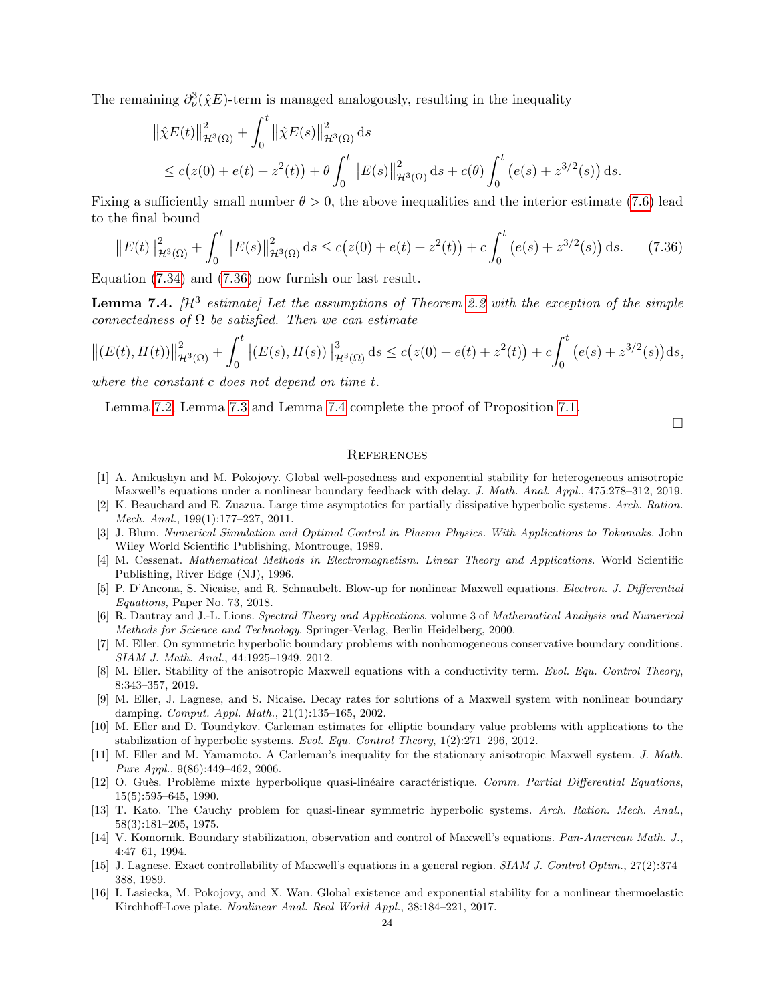The remaining  $\partial_{\nu}^{3}(\hat{\chi}E)$ -term is managed analogously, resulting in the inequality

$$
\|\hat{\chi}E(t)\|_{\mathcal{H}^{3}(\Omega)}^{2} + \int_{0}^{t} \|\hat{\chi}E(s)\|_{\mathcal{H}^{3}(\Omega)}^{2} ds
$$
  
\$\leq c(z(0) + e(t) + z^{2}(t)) + \theta \int\_{0}^{t} ||E(s)||\_{\mathcal{H}^{3}(\Omega)}^{2} ds + c(\theta) \int\_{0}^{t} (e(s) + z^{3/2}(s)) ds.\$

Fixing a sufficiently small number  $\theta > 0$ , the above inequalities and the interior estimate [\(7.6\)](#page-17-1) lead to the final bound

$$
\left\|E(t)\right\|_{\mathcal{H}^{3}(\Omega)}^{2} + \int_{0}^{t} \left\|E(s)\right\|_{\mathcal{H}^{3}(\Omega)}^{2} ds \le c\big(z(0) + e(t) + z^{2}(t)\big) + c\int_{0}^{t} \left(e(s) + z^{3/2}(s)\right) ds. \tag{7.36}
$$

Equation [\(7.34\)](#page-22-3) and [\(7.36\)](#page-23-16) now furnish our last result.

<span id="page-23-17"></span>**Lemma 7.4.** [H<sup>3</sup> estimate] Let the assumptions of Theorem [2.2](#page-3-0) with the exception of the simple connectedness of  $\Omega$  be satisfied. Then we can estimate

$$
\left\| (E(t), H(t)) \right\|_{\mathcal{H}^{3}(\Omega)}^{2} + \int_{0}^{t} \left\| (E(s), H(s)) \right\|_{\mathcal{H}^{3}(\Omega)}^{3} ds \le c \big(z(0) + e(t) + z^{2}(t)\big) + c \int_{0}^{t} \big(e(s) + z^{3/2}(s)\big) ds,
$$

where the constant c does not depend on time t.

Lemma [7.2,](#page-19-4) Lemma [7.3](#page-21-4) and Lemma [7.4](#page-23-17) complete the proof of Proposition [7.1.](#page-15-0)

<span id="page-23-16"></span> $\Box$ 

#### **REFERENCES**

- <span id="page-23-3"></span>[1] A. Anikushyn and M. Pokojovy. Global well-posedness and exponential stability for heterogeneous anisotropic Maxwell's equations under a nonlinear boundary feedback with delay. J. Math. Anal. Appl., 475:278–312, 2019.
- <span id="page-23-9"></span>[2] K. Beauchard and E. Zuazua. Large time asymptotics for partially dissipative hyperbolic systems. Arch. Ration. Mech. Anal., 199(1):177–227, 2011.
- <span id="page-23-0"></span>[3] J. Blum. Numerical Simulation and Optimal Control in Plasma Physics. With Applications to Tokamaks. John Wiley World Scientific Publishing, Montrouge, 1989.
- <span id="page-23-14"></span>[4] M. Cessenat. Mathematical Methods in Electromagnetism. Linear Theory and Applications. World Scientific Publishing, River Edge (NJ), 1996.
- <span id="page-23-10"></span>[5] P. D'Ancona, S. Nicaise, and R. Schnaubelt. Blow-up for nonlinear Maxwell equations. Electron. J. Differential Equations, Paper No. 73, 2018.
- <span id="page-23-12"></span>[6] R. Dautray and J.-L. Lions. Spectral Theory and Applications, volume 3 of Mathematical Analysis and Numerical Methods for Science and Technology. Springer-Verlag, Berlin Heidelberg, 2000.
- <span id="page-23-13"></span>[7] M. Eller. On symmetric hyperbolic boundary problems with nonhomogeneous conservative boundary conditions. SIAM J. Math. Anal., 44:1925–1949, 2012.
- <span id="page-23-4"></span>[8] M. Eller. Stability of the anisotropic Maxwell equations with a conductivity term. Evol. Equ. Control Theory, 8:343–357, 2019.
- <span id="page-23-5"></span>[9] M. Eller, J. Lagnese, and S. Nicaise. Decay rates for solutions of a Maxwell system with nonlinear boundary damping. Comput. Appl. Math., 21(1):135–165, 2002.
- <span id="page-23-6"></span>[10] M. Eller and D. Toundykov. Carleman estimates for elliptic boundary value problems with applications to the stabilization of hyperbolic systems. Evol. Equ. Control Theory, 1(2):271–296, 2012.
- <span id="page-23-15"></span>[11] M. Eller and M. Yamamoto. A Carleman's inequality for the stationary anisotropic Maxwell system. J. Math. Pure Appl., 9(86):449–462, 2006.
- <span id="page-23-2"></span>[12] O. Guès. Problème mixte hyperbolique quasi-linéaire caractéristique. Comm. Partial Differential Equations, 15(5):595–645, 1990.
- <span id="page-23-1"></span>[13] T. Kato. The Cauchy problem for quasi-linear symmetric hyperbolic systems. Arch. Ration. Mech. Anal., 58(3):181–205, 1975.
- <span id="page-23-7"></span>[14] V. Komornik. Boundary stabilization, observation and control of Maxwell's equations. Pan-American Math. J., 4:47–61, 1994.
- <span id="page-23-8"></span>[15] J. Lagnese. Exact controllability of Maxwell's equations in a general region. SIAM J. Control Optim., 27(2):374– 388, 1989.
- <span id="page-23-11"></span>[16] I. Lasiecka, M. Pokojovy, and X. Wan. Global existence and exponential stability for a nonlinear thermoelastic Kirchhoff-Love plate. Nonlinear Anal. Real World Appl., 38:184–221, 2017.